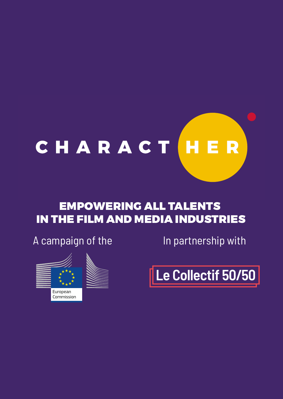

# EMPOWERING ALL TALENTS IN THE FILM AND MEDIA INDUSTRIES

A campaign of the In partnership with



Le Collectif 50/50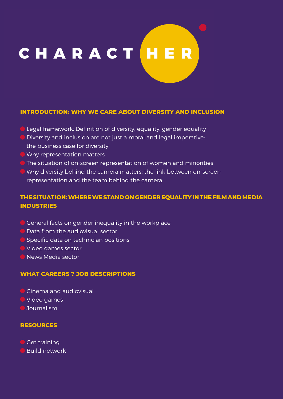# CHARACT HER

#### **INTRODUCTION: WHY WE CARE ABOUT DIVERSITY AND INCLUSION**

- **C** Legal framework: Definition of diversity, equality, gender equality
- **Diversity and inclusion are not just a moral and legal imperative:** the business case for diversity
- Why representation matters
- The situation of on-screen representation of women and minorities
- Why diversity behind the camera matters: the link between on-screen representation and the team behind the camera

#### **THE SITUATION: WHERE WE STAND ON GENDER EQUALITY IN THE FILM AND MEDIA INDUSTRIES**

- General facts on gender inequality in the workplace
- **D** Data from the audiovisual sector
- Specific data on technician positions
- Video games sector
- **News Media sector**

#### **WHAT CAREERS ? JOB DESCRIPTIONS**

- Cinema and audiovisual
- Video games
- **Journalism**

#### **RESOURCES**

**Get training** 

Build network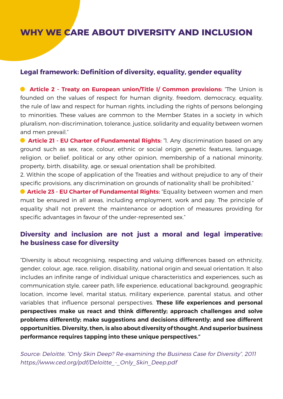# **WHY WE CARE ABOUT DIVERSITY AND INCLUSION**

#### **Legal framework: Definition of diversity, equality, gender equality**

**Article 2 - Treaty on European union/Title I/ Common provisions:** "The Union is founded on the values of respect for human dignity, freedom, democracy, equality, the rule of law and respect for human rights, including the rights of persons belonging to minorities. These values are common to the Member States in a society in which pluralism, non-discrimination, tolerance, justice, solidarity and equality between women and men prevail."

**Article 21 - EU Charter of Fundamental Rights:** "I. Any discrimination based on any ground such as sex, race, colour, ethnic or social origin, genetic features, language, religion, or belief, political or any other opinion, membership of a national minority, property, birth, disability, age, or sexual orientation shall be prohibited.

2. Within the scope of application of the Treaties and without prejudice to any of their specific provisions, any discrimination on grounds of nationality shall be prohibited."

**Article 23 - EU Charter of Fundamental Rights:** "Equality between women and men must be ensured in all areas, including employment, work and pay. The principle of equality shall not prevent the maintenance or adoption of measures providing for specific advantages in favour of the under-represented sex."

#### **Diversity and inclusion are not just a moral and legal imperative: he business case for diversity**

"Diversity is about recognising, respecting and valuing differences based on ethnicity, gender, colour, age, race, religion, disability, national origin and sexual orientation. It also includes an infinite range of individual unique characteristics and experiences, such as communication style, career path, life experience, educational background, geographic location, income level, marital status, military experience, parental status, and other variables that influence personal perspectives. **These life experiences and personal perspectives make us react and think differently; approach challenges and solve problems differently; make suggestions and decisions differently; and see different opportunities. Diversity, then, is also about diversity of thought. And superior business performance requires tapping into these unique perspectives."**

Source: Deloitte, "Only Skin Deep? Re-examining the Business Case for Diversity", 2011 https://www.ced.org/pdf/Deloitte - Only Skin Deep.pdf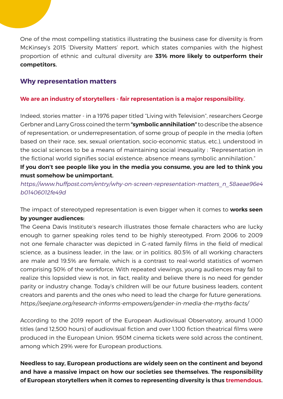One of the most compelling statistics illustrating the business case for diversity is from McKinsey's 2015 'Diversity Matters' report, which states companies with the highest proportion of ethnic and cultural diversity are **33% more likely to outperform their competitors.**

#### **Why representation matters**

#### **We are an industry of storytellers - fair representation is a major responsibility.**

Indeed, stories matter - in a 1976 paper titled "Living with Television", researchers George Gerbner and Larry Gross coined the term **"symbolic annihilation"** to describe the absence of representation, or underrepresentation, of some group of people in the media (often based on their race, sex, sexual orientation, socio-economic status, etc.), understood in the social sciences to be a means of maintaining social inequality : "Representation in the fictional world signifies social existence; absence means symbolic annihilation."

#### **If you don't see people like you in the media you consume, you are led to think you must somehow be unimportant.**

https://www.huffpost.com/entry/why-on-screen-representation-matters\_n\_58aeae96e4 b01406012fe49d

The impact of stereotyped representation is even bigger when it comes to **works seen by younger audiences:**

The Geena Davis Institute's research illustrates those female characters who are lucky enough to garner speaking roles tend to be highly stereotyped. From 2006 to 2009 not one female character was depicted in G-rated family films in the field of medical science, as a business leader, in the law, or in politics. 80.5% of all working characters are male and 19.5% are female, which is a contrast to real-world statistics of women comprising 50% of the workforce. With repeated viewings, young audiences may fail to realize this lopsided view is not, in fact, reality and believe there is no need for gender parity or industry change. Today's children will be our future business leaders, content creators and parents and the ones who need to lead the charge for future generations. https://seejane.org/research-informs-empowers/gender-in-media-the-myths-facts/

According to the 2019 report of the European Audiovisual Observatory, around 1,000 titles (and 12,500 hours) of audiovisual fiction and over 1,100 fiction theatrical films were produced in the European Union. 950M cinema tickets were sold across the continent, among which 29% were for European productions.

**Needless to say, European productions are widely seen on the continent and beyond and have a massive impact on how our societies see themselves. The responsibility of European storytellers when it comes to representing diversity is thus tremendous.**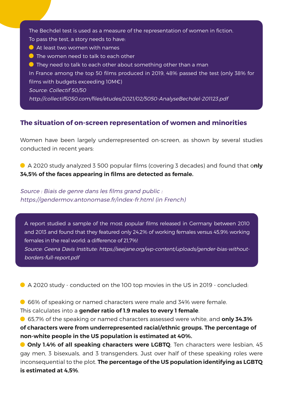The Bechdel test is used as a measure of the representation of women in fiction. To pass the test, a story needs to have:

- At least two women with names
- **O** The women need to talk to each other
- **O** They need to talk to each other about something other than a man

In France among the top 50 films produced in 2019, 48% passed the test (only 38% for films with budgets exceeding 10M€)

Source: Collectif 50/50

http://collectif5050.com/files/etudes/2021/02/5050-AnalyseBechdel-201123.pdf

#### **The situation of on-screen representation of women and minorities**

Women have been largely underrepresented on-screen, as shown by several studies conducted in recent years:

A 2020 study analyzed 3 500 popular films (covering 3 decades) and found that o**nly 34,5% of the faces appearing in films are detected as female.** 

Source : Biais de genre dans les films grand public : https://gendermov.antonomase.fr/index-fr.html (in French)

A report studied a sample of the most popular films released in Germany between 2010 and 2013 and found that they featured only 24,2% of working females versus 45,9% working females in the real world: a difference of 21,7%!

Source: Geena Davis Institute: https://seejane.org/wp-content/uploads/gender-bias-withoutborders-full-report.pdf

A 2020 study - conducted on the 100 top movies in the US in 2019 - concluded:

66% of speaking or named characters were male and 34% were female.

This calculates into a **gender ratio of 1.9 males to every 1 female**.

65,7% of the speaking or named characters assessed were white, and **only 34.3% of characters were from underrepresented racial/ethnic groups. The percentage of non-white people in the US population is estimated at 40%.** 

**Only 1.4% of all speaking characters were LGBTQ**. Ten characters were lesbian, 45 gay men, 3 bisexuals, and 3 transgenders. Just over half of these speaking roles were inconsequential to the plot. **The percentage of the US population identifying as LGBTQ is estimated at 4,5%**.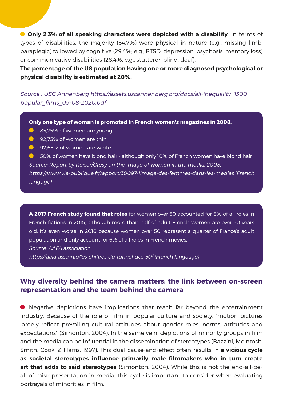**Only 2.3% of all speaking characters were depicted with a disability**. In terms of types of disabilities, the majority (64.7%) were physical in nature (e.g., missing limb, paraplegic) followed by cognitive (29.4%; e.g., PTSD, depression, psychosis, memory loss) or communicative disabilities (28.4%, e.g., stutterer, blind, deaf).

**The percentage of the US population having one or more diagnosed psychological or physical disability is estimated at 20%.**

Source : USC Annenberg https://assets.uscannenberg.org/docs/aii-inequality\_1300\_ popular\_films\_09-08-2020.pdf

**Only one type of woman is promoted in French women's magazines in 2008:**

- **85,75% of women are young**
- **92.75% of women are thin**
- **92.65% of women are white**

**6** 50% of women have blond hair - although only 10% of French women have blond hair Source: Report by Reiser/Grésy on the image of women in the media, 2008. https://www.vie-publique.fr/rapport/30097-limage-des-femmes-dans-les-medias (French languge)

**A 2017 French study found that roles** for women over 50 accounted for 8% of all roles in French fictions in 2015, although more than half of adult French women are over 50 years old. It's even worse in 2016 because women over 50 represent a quarter of France's adult population and only account for 6% of all roles in French movies. Source: AAFA association

https://aafa-asso.info/les-chiffres-du-tunnel-des-50/ (French language)

#### **Why diversity behind the camera matters: the link between on-screen representation and the team behind the camera**

Negative depictions have implications that reach far beyond the entertainment industry. Because of the role of film in popular culture and society, "motion pictures largely reflect prevailing cultural attitudes about gender roles, norms, attitudes and expectations" (Simonton, 2004). In the same vein, depictions of minority groups in film and the media can be influential in the dissemination of stereotypes (Bazzini, McIntosh, Smith, Cook, & Harris, 1997). This dual cause-and-effect often results in **a vicious cycle as societal stereotypes influence primarily male filmmakers who in turn create art that adds to said stereotypes** (Simonton, 2004). While this is not the end-all-beall of misrepresentation in media, this cycle is important to consider when evaluating portrayals of minorities in film.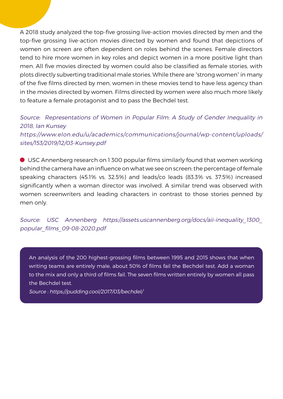A 2018 study analyzed the top-five grossing live-action movies directed by men and the top-five grossing live-action movies directed by women and found that depictions of women on screen are often dependent on roles behind the scenes. Female directors tend to hire more women in key roles and depict women in a more positive light than men. All five movies directed by women could also be classified as female stories, with plots directly subverting traditional male stories. While there are "strong women" in many of the five films directed by men, women in these movies tend to have less agency than in the movies directed by women. Films directed by women were also much more likely to feature a female protagonist and to pass the Bechdel test.

Source: Representations of Women in Popular Film: A Study of Gender Inequality in 2018, Ian Kunsey https://www.elon.edu/u/academics/communications/journal/wp-content/uploads/

sites/153/2019/12/03-Kunsey.pdf

USC Annenberg research on 1 300 popular films similarly found that women working behind the camera have an influence on what we see on screen: the percentage of female speaking characters (45.1% vs. 32.5%) and leads/co leads (83.3% vs. 37.5%) increased significantly when a woman director was involved. A similar trend was observed with women screenwriters and leading characters in contrast to those stories penned by men only.

Source: USC Annenberg https://assets.uscannenberg.org/docs/aii-inequality 1300 popular\_films\_09-08-2020.pdf

An analysis of the 200 highest-grossing films between 1995 and 2015 shows that when writing teams are entirely male, about 50% of films fail the Bechdel test. Add a woman to the mix and only a third of films fail. The seven films written entirely by women all pass the Bechdel test.

Source : https://pudding.cool/2017/03/bechdel/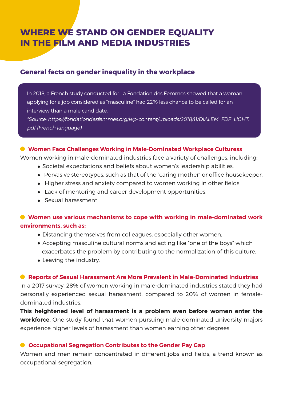# **WHERE WE STAND ON GENDER EQUALITY IN THE FILM AND MEDIA INDUSTRIES**

#### **General facts on gender inequality in the workplace**

In 2018, a French study conducted for La Fondation des Femmes showed that a woman applying for a job considered as "masculine" had 22% less chance to be called for an interview than a male candidate.

\*Source: https://fondationdesfemmes.org/wp-content/uploads/2018/11/DIALEM\_FDF\_LIGHT. pdf (French language)

#### **Women Face Challenges Working in Male-Dominated Workplace Culturess**

Women working in male-dominated industries face a variety of challenges, including:

- Societal expectations and beliefs about women's leadership abilities.
- Pervasive stereotypes, such as that of the "caring mother" or office housekeeper.
- Higher stress and anxiety compared to women working in other fields.
- Lack of mentoring and career development opportunities.
- Sexual harassment

#### **Women use various mechanisms to cope with working in male-dominated work environments, such as:**

- Distancing themselves from colleagues, especially other women.
- Accepting masculine cultural norms and acting like "one of the boys" which exacerbates the problem by contributing to the normalization of this culture.
- Leaving the industry.

#### **Reports of Sexual Harassment Are More Prevalent in Male-Dominated Industries**

In a 2017 survey, 28% of women working in male-dominated industries stated they had personally experienced sexual harassment, compared to 20% of women in femaledominated industries.

**This heightened level of harassment is a problem even before women enter the workforce.** One study found that women pursuing male-dominated university majors experience higher levels of harassment than women earning other degrees.

#### **Occupational Segregation Contributes to the Gender Pay Gap**

Women and men remain concentrated in different jobs and fields, a trend known as occupational segregation.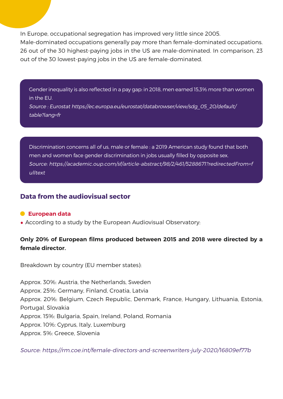In Europe, occupational segregation has improved very little since 2005. Male-dominated occupations generally pay more than female-dominated occupations. 26 out of the 30 highest-paying jobs in the US are male-dominated. In comparison, 23 out of the 30 lowest-paying jobs in the US are female-dominated.

Gender inequality is also reflected in a pay gap: in 2018, men earned 15,3% more than women in the EU.

Source : Eurostat https://ec.europa.eu/eurostat/databrowser/view/sdg\_05\_20/default/ table?lang=fr

Discrimination concerns all of us, male or female : a 2019 American study found that both men and women face gender discrimination in jobs usually filled by opposite sex. Source: https://academic.oup.com/sf/article-abstract/98/2/461/5288671?redirectedFrom=f ulltext

#### **Data from the audiovisual sector**

#### **European data**

• According to a study by the European Audiovisual Observatory:

#### **Only 20% of European films produced between 2015 and 2018 were directed by a female director.**

Breakdown by country (EU member states):

Approx. 30%: Austria, the Netherlands, Sweden Approx. 25%: Germany, Finland, Croatia, Latvia Approx. 20%: Belgium, Czech Republic, Denmark, France, Hungary, Lithuania, Estonia, Portugal, Slovakia Approx. 15%: Bulgaria, Spain, Ireland, Poland, Romania Approx. 10%: Cyprus, Italy, Luxemburg Approx. 5%: Greece, Slovenia

Source: https://rm.coe.int/female-directors-and-screenwriters-july-2020/16809ef77b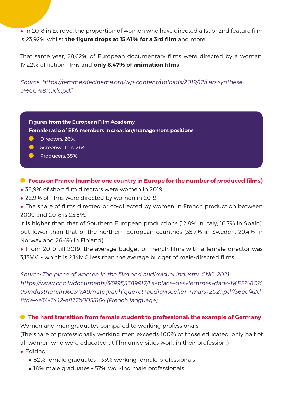• In 2018 in Europe, the proportion of women who have directed a 1st or 2nd feature film is 23,92% whilst **the figure drops at 15,41% for a 3rd film** and more.

That same year, 28,62% of European documentary films were directed by a woman, 17,22% of fiction films and **only 8,47% of animation films**.

Source: https://femmesdecinema.org/wp-content/uploads/2019/12/Lab-synthesee%CC%81tude.pdf

**Figures from the European Film Academy Female ratio of EFA members in creation/management positions:**

- **Directors: 26%**
- Screenwriters: 26%
- **Producers: 35%**

#### **Focus on France (number one country in Europe for the number of produced films)**

- 38,9% of short film directors were women in 2019
- 22,9% of films were directed by women in 2019
- The share of films directed or co-directed by women in French production between 2009 and 2018 is 25.5%.

It is higher than that of Southern European productions (12.8% in Italy, 16.7% in Spain), but lower than that of the northern European countries (35.7% in Sweden, 29.4% in Norway and 26.6% in Finland).

• From 2010 till 2019, the average budget of French films with a female director was 3,13M€ - which is 2,14M€ less than the average budget of male-directed films.

Source: The place of women in the film and audiovisual industry, CNC, 2021 https://www.cnc.fr/documents/36995/1389917/La+place+des+femmes+dans+l%E2%80% 99industrie+cin%C3%A9matographique+et+audiovisuelle+-+mars+2021.pdf/36ecf42d-8fde-4e34-7442-e877b0055164 (French language)

#### **The hard transition from female student to professional: the example of Germany**

Women and men graduates compared to working professionals: (The share of professionally working men exceeds 100% of those educated, only half of all women who were educated at film universities work in their profession.)

- Editing:
	- 82% female graduates 33% working female professionals
	- 18% male graduates 57% working male professionals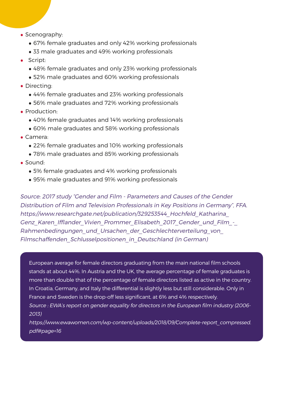- Scenography:
	- 67% female graduates and only 42% working professionals
	- 33 male graduates and 49% working professionals
- Script:
	- 48% female graduates and only 23% working professionals
	- 52% male graduates and 60% working professionals
- Directing:
	- 44% female graduates and 23% working professionals
	- 56% male graduates and 72% working professionals
- Production:
	- 40% female graduates and 14% working professionals
	- 60% male graduates and 58% working professionals
- Camera:
	- 22% female graduates and 10% working professionals
	- 78% male graduates and 85% working professionals
- Sound:
	- 5% female graduates and 4% working professionals
	- 95% male graduates and 91% working professionals

Source: 2017 study "Gender and Film - Parameters and Causes of the Gender Distribution of Film and Television Professionals in Key Positions in Germany", FFA. https://www.researchgate.net/publication/329253544\_Hochfeld\_Katharina\_ Genz Karen Ifflander Vivien Prommer Elisabeth 2017 Gender und Film -Rahmenbedingungen\_und\_Ursachen\_der\_Geschlechterverteilung\_von Filmschaffenden Schlusselpositionen in Deutschland (in German)

European average for female directors graduating from the main national film schools stands at about 44%. In Austria and the UK, the average percentage of female graduates is more than double that of the percentage of female directors listed as active in the country. In Croatia, Germany, and Italy the differential is slightly less but still considerable. Only in France and Sweden is the drop-off less significant, at 6% and 4% respectively. Source : EWA's report on gender equality for directors in the European film industry (2006- 2013)

https://www.ewawomen.com/wp-content/uploads/2018/09/Complete-report\_compressed. pdf#page=16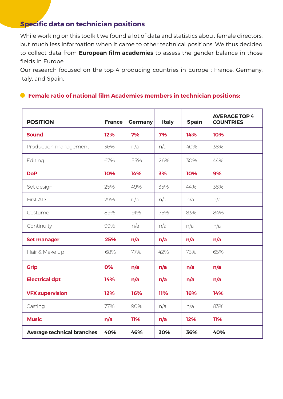## **Specific data on technician positions**

While working on this toolkit we found a lot of data and statistics about female directors, but much less information when it came to other technical positions. We thus decided to collect data from **European film academies** to assess the gender balance in those fields in Europe.

Our research focused on the top-4 producing countries in Europe : France, Germany, Italy, and Spain.

#### **Female ratio of national film Academies members in technician positions:**

| <b>POSITION</b>                   | <b>France</b> | <b>Germany</b> | <b>Italy</b> | <b>Spain</b> | <b>AVERAGE TOP 4</b><br><b>COUNTRIES</b> |
|-----------------------------------|---------------|----------------|--------------|--------------|------------------------------------------|
| <b>Sound</b>                      | 12%           | 7%             | 7%           | 14%          | 10%                                      |
| Production management             | 36%           | n/a            | n/a          | 40%          | 38%                                      |
| Editing                           | 67%           | 55%            | 26%          | 30%          | 44%                                      |
| <b>DoP</b>                        | 10%           | 14%            | 3%           | 10%          | 9%                                       |
| Set design                        | 25%           | 49%            | 35%          | 44%          | 38%                                      |
| First AD                          | 29%           | n/a            | n/a          | n/a          | n/a                                      |
| Costume                           | 89%           | 91%            | 75%          | 83%          | 84%                                      |
| Continuity                        | 99%           | n/a            | n/a          | n/a          | n/a                                      |
| <b>Set manager</b>                | 25%           | n/a            | n/a          | n/a          | n/a                                      |
| Hair & Make up                    | 68%           | 77%            | 42%          | 75%          | 65%                                      |
| <b>Grip</b>                       | 0%            | n/a            | n/a          | n/a          | n/a                                      |
| <b>Electrical dpt</b>             | 14%           | n/a            | n/a          | n/a          | n/a                                      |
| <b>VFX supervision</b>            | 12%           | 16%            | 11%          | 16%          | 14%                                      |
| Casting                           | 77%           | 90%            | n/a          | n/a          | 83%                                      |
| <b>Music</b>                      | n/a           | 11%            | n/a          | 12%          | 11%                                      |
| <b>Average technical branches</b> | 40%           | 46%            | 30%          | 36%          | 40%                                      |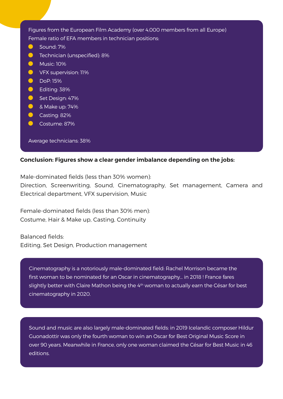Figures from the European Film Academy (over 4,000 members from all Europe) Female ratio of EFA members in technician positions: Sound: 7%  $\bullet$  $\bullet$ Technician (unspecified): 8%  $\bullet$ Music: 10%  $\bullet$ VFX supervision: 11%  $\bullet$ DoP: 15%  $\bullet$ Editing: 38%  $\bullet$ Set Design: 47%  $\bullet$ & Make up: 74%  $\bullet$ Casting: 82%  $\bullet$ Costume: 87% Average technicians: 38%

#### **Conclusion: Figures show a clear gender imbalance depending on the jobs:**

Male-dominated fields (less than 30% women):

Direction, Screenwriting, Sound, Cinematography, Set management, Camera and Electrical department, VFX supervision, Music

Female-dominated fields (less than 30% men): Costume, Hair & Make up, Casting, Continuity

Balanced fields: Editing, Set Design, Production management

Cinematography is a notoriously male-dominated field: Rachel Morrison became the first woman to be nominated for an Oscar in cinematography... in 2018 ! France fares slightly better with Claire Mathon being the 4<sup>th</sup> woman to actually earn the César for best cinematography in 2020.

Sound and music are also largely male-dominated fields: in 2019 Icelandic composer Hildur Guonadottir was only the fourth woman to win an Oscar for Best Original Music Score in over 90 years. Meanwhile in France, only one woman claimed the César for Best Music in 46 editions.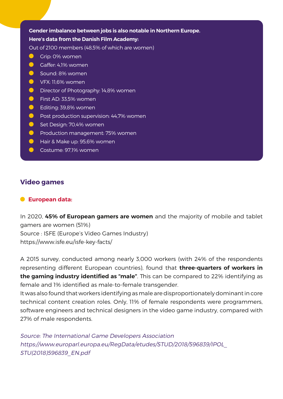#### **Gender imbalance between jobs is also notable in Northern Europe. Here's data from the Danish Film Academy:**

Out of 2100 members (48,5% of which are women)

- $\bullet$ Grip: 0% women
- Gaffer: 4,1% women
- $\bullet$ Sound: 8% women
- $\bullet$ VFX: 11,6% women
- **Director of Photography: 14,8% women**
- $\bullet$ First AD: 33,5% women
- $\bullet$ Editing: 39,8% women
- $\bullet$ Post production supervision: 44,7% women
- $\bullet$ Set Design: 70,4% women
- $\bullet$ Production management: 75% women
- $\bullet$ Hair & Make up: 95,6% women
- Costume: 97,1% women

#### **Video games**

#### **European data:**

In 2020, **45% of European gamers are women** and the majority of mobile and tablet gamers are women (51%) Source : ISFE (Europe's Video Games Industry) https://www.isfe.eu/isfe-key-facts/

A 2015 survey, conducted among nearly 3,000 workers (with 24% of the respondents representing different European countries), found that **three-quarters of workers in the gaming industry identified as "male"**. This can be compared to 22% identifying as female and 1% identified as male-to-female transgender.

It was also found that workers identifying as male are disproportionately dominant in core technical content creation roles. Only, 11% of female respondents were programmers, software engineers and technical designers in the video game industry, compared with 27% of male respondents.

Source: The International Game Developers Association https://www.europarl.europa.eu/RegData/etudes/STUD/2018/596839/IPOL\_ STU(2018)596839\_EN.pdf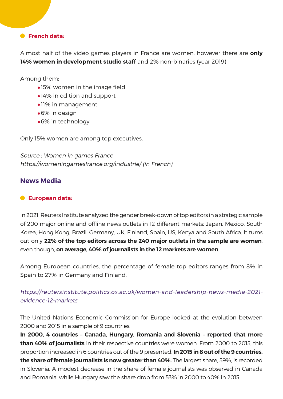#### **French data:**

Almost half of the video games players in France are women, however there are **only 14% women in development studio staff** and 2% non-binaries (year 2019)

Among them:

- •15% women in the image field
- •14% in edition and support
- •11% in management
- •6% in design
- •6% in technology

Only 15% women are among top executives.

Source : Women in games France https://womeningamesfrance.org/industrie/ (in French)

#### **News Media**

#### **European data:**

In 2021, Reuters Institute analyzed the gender break-down of top editors in a strategic sample of 200 major online and offline news outlets in 12 different markets: Japan, Mexico, South Korea, Hong Kong, Brazil, Germany, UK, Finland, Spain, US, Kenya and South Africa. It turns out only **22% of the top editors across the 240 major outlets in the sample are women**, even though, **on average, 40% of journalists in the 12 markets are women**.

Among European countries, the percentage of female top editors ranges from 8% in Spain to 27% in Germany and Finland.

https://reutersinstitute.politics.ox.ac.uk/women-and-leadership-news-media-2021 evidence-12-markets

The United Nations Economic Commission for Europe looked at the evolution between 2000 and 2015 in a sample of 9 countries:

**In 2000, 4 countries – Canada, Hungary, Romania and Slovenia – reported that more than 40% of journalists** in their respective countries were women. From 2000 to 2015, this proportion increased in 6 countries out of the 9 presented. **In 2015 in 8 out of the 9 countries, the share of female journalists is now greater than 40%.** The largest share, 59%, is recorded in Slovenia. A modest decrease in the share of female journalists was observed in Canada and Romania, while Hungary saw the share drop from 53% in 2000 to 40% in 2015.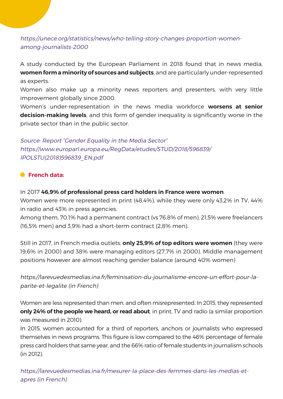https://unece.org/statistics/news/who-telling-story-changes-proportion-womenamong-journalists-2000

A study conducted by the European Parliament in 2018 found that in news media, **women form a minority of sources and subjects**, and are particularly under-represented as experts.

Women also make up a minority news reporters and presenters, with very little improvement globally since 2000.

Women's under-representation in the news media workforce **worsens at senior decision-making levels**, and this form of gender inequality is significantly worse in the private sector than in the public sector.

Source: Report "Gender Equality in the Media Sector" https://www.europarl.europa.eu/RegData/etudes/STUD/2018/596839/ IPOLSTU(2018)596839\_EN.pdf

#### **French data:**

In 2017 **46,9% of professional press card holders in France were women**.

Women were more represented in print (48,4%), while they were only 43,2% in TV, 44% in radio and 43% in press agencies.

Among them, 70,1% had a permanent contract (vs 76,8% of men), 21,5% were freelancers (16,5% men) and 3,9% had a short-term contract (2,8% men).

Still in 2017, in French media outlets, **only 25,9% of top editors were women** (they were 19,6% in 2000) and 38% were managing editors (27,7% in 2000). Middle management positions however are almost reaching gender balance (around 40% women)

https://larevuedesmedias.ina.fr/feminisation-du-journalisme-encore-un-effort-pour-laparite-et-legalite (in French)

Women are less represented than men, and often misrepresented. In 2015, they represented **only 24% of the people we heard, or read about**, in print, TV and radio (a similar proportion was measured in 2010).

In 2015, women accounted for a third of reporters, anchors or journalists who expressed themselves in news programs. This figure is low compared to the 46% percentage of female press card holders that same year, and the 66% ratio of female students in journalism schools (in 2012).

https://larevuedesmedias.ina.fr/mesurer-la-place-des-femmes-dans-les-medias-etapres (in French)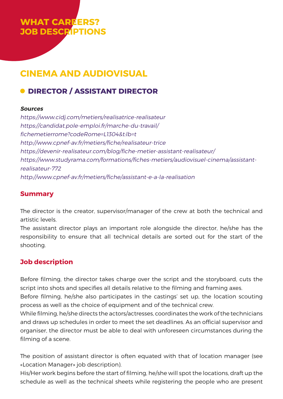# **WHAT CAREERS? JOB DESCRIPTIONS**

# **CINEMA AND AUDIOVISUAL**

# **O DIRECTOR / ASSISTANT DIRECTOR**

#### **Sources**

https://www.cidj.com/metiers/realisatrice-realisateur https://candidat.pole-emploi.fr/marche-du-travail/ fichemetierrome?codeRome=L1304&t:lb=t http://www.cpnef-av.fr/metiers/fiche/realisateur-trice https://devenir-realisateur.com/blog/fiche-metier-assistant-realisateur/ https://www.studyrama.com/formations/fiches-metiers/audiovisuel-cinema/assistantrealisateur-772 http://www.cpnef-av.fr/metiers/fiche/assistant-e-a-la-realisation

#### **Summary**

The director is the creator, supervisor/manager of the crew at both the technical and artistic levels.

The assistant director plays an important role alongside the director, he/she has the responsibility to ensure that all technical details are sorted out for the start of the shooting.

## **Job description**

Before filming, the director takes charge over the script and the storyboard, cuts the script into shots and specifies all details relative to the filming and framing axes.

Before filming, he/she also participates in the castings' set up, the location scouting process as well as the choice of equipment and of the technical crew.

While filming, he/she directs the actors/actresses, coordinates the work of the technicians and draws up schedules in order to meet the set deadlines. As an official supervisor and organiser, the director must be able to deal with unforeseen circumstances during the filming of a scene.

The position of assistant director is often equated with that of location manager (see «Location Manager» job description).

His/Her work begins before the start of filming, he/she will spot the locations, draft up the schedule as well as the technical sheets while registering the people who are present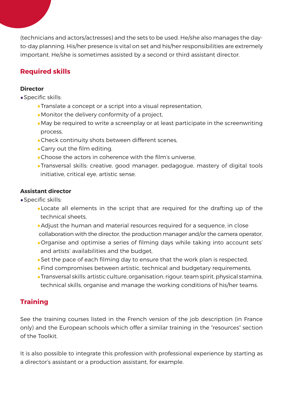(technicians and actors/actresses) and the sets to be used. He/she also manages the dayto-day planning. His/her presence is vital on set and his/her responsibilities are extremely important. He/she is sometimes assisted by a second or third assistant director.

## **Required skills**

#### **Director**

- •Specific skills:
	- •Translate a concept or a script into a visual representation,
	- •Monitor the delivery conformity of a project,
	- •May be required to write a screenplay or at least participate in the screenwriting process,
	- •Check continuity shots between different scenes,
	- •Carry out the film editing,
	- •Choose the actors in coherence with the film's universe,
	- •Transversal skills: creative, good manager, pedagogue, mastery of digital tools initiative, critical eye, artistic sense.

#### **Assistant director**

- •Specific skills:
	- •Locate all elements in the script that are required for the drafting up of the technical sheets,
	- •Adjust the human and material resources required for a sequence, in close collaboration with the director, the production manager and/or the camera operator,
	- •Organise and optimise a series of filming days while taking into account sets' and artists' availabilities and the budget,
	- •Set the pace of each filming day to ensure that the work plan is respected,
	- •Find compromises between artistic, technical and budgetary requirements,
	- •Transversal skills: artistic culture, organisation, rigour, team spirit, physical stamina, technical skills, organise and manage the working conditions of his/her teams.

## **Training**

See the training courses listed in the French version of the job description (in France only) and the European schools which offer a similar training in the "resources" section of the Toolkit.

It is also possible to integrate this profession with professional experience by starting as a director's assistant or a production assistant, for example.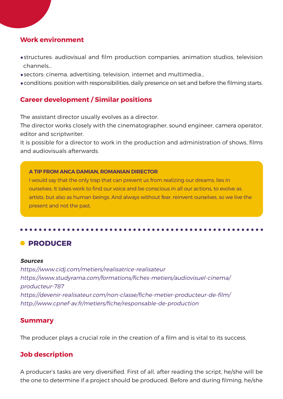#### **Work environment**

- •structures: audiovisual and film production companies, animation studios, television channels...
- •sectors: cinema, advertising, television, internet and multimedia...
- •conditions: position with responsibilities, daily presence on set and before the filming starts.

#### **Career development / Similar positions**

The assistant director usually evolves as a director.

The director works closely with the cinematographer, sound engineer, camera operator, editor and scriptwriter.

It is possible for a director to work in the production and administration of shows, films and audiovisuals afterwards.

#### **A TIP FROM ANCA DAMIAN, ROMANIAN DIRECTOR**

I would say that the only trap that can prevent us from realizing our dreams, lies in ourselves. It takes work to find our voice and be conscious in all our actions, to evolve as artists, but also as human beings. And always without fear, reinvent ourselves, so we live the present and not the past.

# **• PRODUCER**

#### **Sources**

https://www.cidj.com/metiers/realisatrice-realisateur https://www.studyrama.com/formations/fiches-metiers/audiovisuel-cinema/ producteur-787 https://devenir-realisateur.com/non-classe/fiche-metier-producteur-de-film/ http://www.cpnef-av.fr/metiers/fiche/responsable-de-production

#### **Summary**

The producer plays a crucial role in the creation of a film and is vital to its success.

#### **Job description**

A producer's tasks are very diversified. First of all, after reading the script, he/she will be the one to determine if a project should be produced. Before and during filming, he/she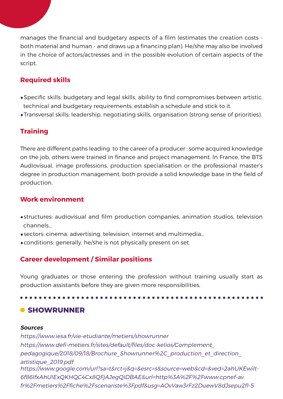manages the financial and budgetary aspects of a film (estimates the creation costs both material and human - and draws up a financing plan). He/she may also be involved in the choice of actors/actresses and in the possible evolution of certain aspects of the script.

#### **Required skills**

- •Specific skills: budgetary and legal skills, ability to find compromises between artistic, technical and budgetary requirements, establish a schedule and stick to it.
- •Transversal skills: leadership, negotiating skills, organisation (strong sense of priorities).

#### **Training**

There are different paths leading to the career of a producer : some acquired knowledge on the job, others were trained in finance and project management. In France, the BTS Audiovisual, image professions, production specialisation or the professional master's degree in production management, both provide a solid knowledge base in the field of production.

#### **Work environment**

- •structures: audiovisual and film production companies, animation studios, television channels...
- •sectors: cinema, advertising, television, internet and multimedia...
- •conditions: generally, he/she is not physically present on set.

#### **Career development / Similar positions**

Young graduates or those entering the profession without training usually start as production assistants before they are given more responsibilities.

# **C** SHOWRUNNER

#### **Sources**

https://www.iesa.fr/vie-etudiante/metiers/showrunner https://www.defi-metiers.fr/sites/default/files/doc-kelios/Complement\_ pedagogique/2018/09/18/Brochure\_Showrunner%2C\_production\_et\_direction\_ artistique\_2019.pdf https://www.google.com/url?sa=t&rct=j&q=&esrc=s&source=web&cd=&ved=2ahUKEwilt-6f86IfxAhUIExQKHQC4Cx8QFjAJegQIDBAE&url=http%3A%2F%2Fwww.cpnef-av. fr%2Fmetiers%2Ffiche%2Fscenariste%3Fpdf&usg=AOvVaw3rFz2DuewV8dJsepu2fI-5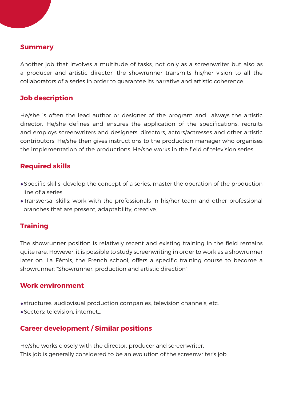#### **Summary**

Another job that involves a multitude of tasks, not only as a screenwriter but also as a producer and artistic director, the showrunner transmits his/her vision to all the collaborators of a series in order to guarantee its narrative and artistic coherence.

#### **Job description**

He/she is often the lead author or designer of the program and always the artistic director. He/she defines and ensures the application of the specifications, recruits and employs screenwriters and designers, directors, actors/actresses and other artistic contributors. He/she then gives instructions to the production manager who organises the implementation of the productions. He/she works in the field of television series.

#### **Required skills**

- •Specific skills: develop the concept of a series, master the operation of the production line of a series.
- •Transversal skills: work with the professionals in his/her team and other professional branches that are present, adaptability, creative.

#### **Training**

The showrunner position is relatively recent and existing training in the field remains quite rare. However, it is possible to study screenwriting in order to work as a showrunner later on. La Fémis, the French school, offers a specific training course to become a showrunner: "Showrunner: production and artistic direction".

#### **Work environment**

•structures: audiovisual production companies, television channels, etc.

•Sectors: television, internet...

## **Career development / Similar positions**

He/she works closely with the director, producer and screenwriter. This job is generally considered to be an evolution of the screenwriter's job.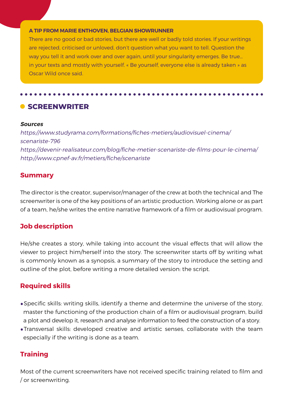#### **A TIP FROM MARIE ENTHOVEN, BELGIAN SHOWRUNNER**

There are no good or bad stories, but there are well or badly told stories. If your writings are rejected, criticised or unloved, don't question what you want to tell. Question the way you tell it and work over and over again, until your singularity emerges. Be true… in your texts and mostly with yourself. « Be yourself, everyone else is already taken » as Oscar Wild once said.

**CREENWRITER** 

#### **Sources**

https://www.studyrama.com/formations/fiches-metiers/audiovisuel-cinema/ scenariste-796 https://devenir-realisateur.com/blog/fiche-metier-scenariste-de-films-pour-le-cinema/ http://www.cpnef-av.fr/metiers/fiche/scenariste

#### **Summary**

The director is the creator, supervisor/manager of the crew at both the technical and The screenwriter is one of the key positions of an artistic production. Working alone or as part of a team, he/she writes the entire narrative framework of a film or audiovisual program.

#### **Job description**

He/she creates a story, while taking into account the visual effects that will allow the viewer to project him/herself into the story. The screenwriter starts off by writing what is commonly known as a synopsis, a summary of the story to introduce the setting and outline of the plot, before writing a more detailed version: the script.

#### **Required skills**

- •Specific skills: writing skills, identify a theme and determine the universe of the story, master the functioning of the production chain of a film or audiovisual program, build a plot and develop it, research and analyse information to feed the construction of a story.
- •Transversal skills: developed creative and artistic senses, collaborate with the team especially if the writing is done as a team.

#### **Training**

Most of the current screenwriters have not received specific training related to film and / or screenwriting.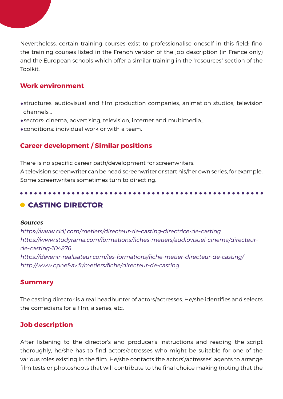Nevertheless, certain training courses exist to professionalise oneself in this field: find the training courses listed in the French version of the job description (in France only) and the European schools which offer a similar training in the "resources" section of the Toolkit.

#### **Work environment**

- •structures: audiovisual and film production companies, animation studios, television channels...
- •sectors: cinema, advertising, television, internet and multimedia...
- •conditions: individual work or with a team.

#### **Career development / Similar positions**

There is no specific career path/development for screenwriters.

A television screenwriter can be head screenwriter or start his/her own series, for example. Some screenwriters sometimes turn to directing.

## **CASTING DIRECTOR**

#### **Sources**

https://www.cidj.com/metiers/directeur-de-casting-directrice-de-casting https://www.studyrama.com/formations/fiches-metiers/audiovisuel-cinema/directeurde-casting-104876 https://devenir-realisateur.com/les-formations/fiche-metier-directeur-de-casting/ http://www.cpnef-av.fr/metiers/fiche/directeur-de-casting

#### **Summary**

The casting director is a real headhunter of actors/actresses. He/she identifies and selects the comedians for a film, a series, etc.

#### **Job description**

After listening to the director's and producer's instructions and reading the script thoroughly, he/she has to find actors/actresses who might be suitable for one of the various roles existing in the film. He/she contacts the actors'/actresses' agents to arrange film tests or photoshoots that will contribute to the final choice making (noting that the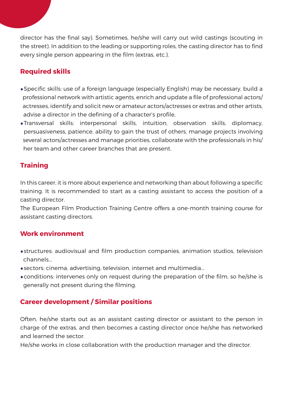director has the final say). Sometimes, he/she will carry out wild castings (scouting in the street). In addition to the leading or supporting roles, the casting director has to find every single person appearing in the film (extras, etc.).

## **Required skills**

- •Specific skills: use of a foreign language (especially English) may be necessary, build a professional network with artistic agents, enrich and update a file of professional actors/ actresses, identify and solicit new or amateur actors/actresses or extras and other artists, advise a director in the defining of a character's profile,
- •Transversal skills: interpersonal skills, intuition, observation skills, diplomacy, persuasiveness, patience, ability to gain the trust of others, manage projects involving several actors/actresses and manage priorities, collaborate with the professionals in his/ her team and other career branches that are present.

#### **Training**

In this career, it is more about experience and networking than about following a specific training. It is recommended to start as a casting assistant to access the position of a casting director.

The European Film Production Training Centre offers a one-month training course for assistant casting directors.

#### **Work environment**

- •structures: audiovisual and film production companies, animation studios, television channels...
- •sectors: cinema, advertising, television, internet and multimedia...
- •conditions: intervenes only on request during the preparation of the film, so he/she is generally not present during the filming.

#### **Career development / Similar positions**

Often, he/she starts out as an assistant casting director or assistant to the person in charge of the extras, and then becomes a casting director once he/she has networked and learned the sector.

He/she works in close collaboration with the production manager and the director.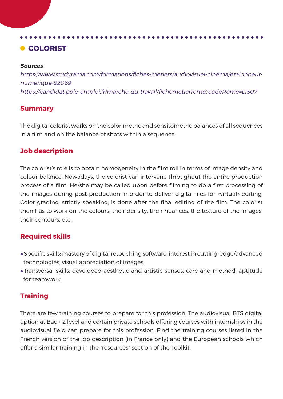# **COLORIST**

#### **Sources**

https://www.studyrama.com/formations/fiches-metiers/audiovisuel-cinema/etalonneurnumerique-92069 https://candidat.pole-emploi.fr/marche-du-travail/fichemetierrome?codeRome=L1507

#### **Summary**

The digital colorist works on the colorimetric and sensitometric balances of all sequences in a film and on the balance of shots within a sequence.

#### **Job description**

The colorist's role is to obtain homogeneity in the film roll in terms of image density and colour balance. Nowadays, the colorist can intervene throughout the entire production process of a film. He/she may be called upon before filming to do a first processing of the images during post-production in order to deliver digital files for «virtual» editing. Color grading, strictly speaking, is done after the final editing of the film. The colorist then has to work on the colours, their density, their nuances, the texture of the images, their contours, etc.

#### **Required skills**

- •Specific skills: mastery of digital retouching software, interest in cutting-edge/advanced technologies, visual appreciation of images,
- •Transversal skills: developed aesthetic and artistic senses, care and method, aptitude for teamwork.

## **Training**

There are few training courses to prepare for this profession. The audiovisual BTS digital option at Bac + 2 level and certain private schools offering courses with internships in the audiovisual field can prepare for this profession. Find the training courses listed in the French version of the job description (in France only) and the European schools which offer a similar training in the "resources" section of the Toolkit.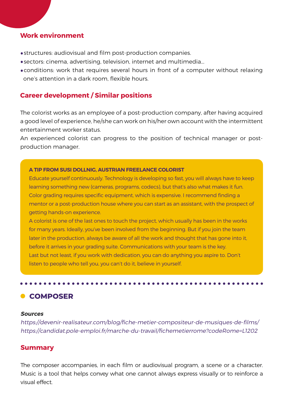#### **Work environment**

- •structures: audiovisual and film post-production companies.
- •sectors: cinema, advertising, television, internet and multimedia...
- •conditions: work that requires several hours in front of a computer without relaxing one's attention in a dark room, flexible hours.

#### **Career development / Similar positions**

The colorist works as an employee of a post-production company, after having acquired a good level of experience, he/she can work on his/her own account with the intermittent entertainment worker status.

An experienced colorist can progress to the position of technical manager or postproduction manager.

#### **A TIP FROM SUSI DOLLNIG, AUSTRIAN FREELANCE COLORIST**

Educate yourself continuously. Technology is developing so fast, you will always have to keep learning something new (cameras, programs, codecs), but that's also what makes it fun. Color grading requires specific equipment, which is expensive. I recommend finding a mentor or a post-production house where you can start as an assistant, with the prospect of getting hands-on experience.

A colorist is one of the last ones to touch the project, which usually has been in the works for many years. Ideally, you've been involved from the beginning. But if you join the team later in the production, always be aware of all the work and thought that has gone into it, before it arrives in your grading suite. Communications with your team is the key. Last but not least, if you work with dedication, you can do anything you aspire to. Don't listen to people who tell you, you can't do it, believe in yourself.

## **COMPOSER**

#### **Sources**

https://devenir-realisateur.com/blog/fiche-metier-compositeur-de-musiques-de-films/ https://candidat.pole-emploi.fr/marche-du-travail/fichemetierrome?codeRome=L1202

#### **Summary**

The composer accompanies, in each film or audiovisual program, a scene or a character. Music is a tool that helps convey what one cannot always express visually or to reinforce a visual effect.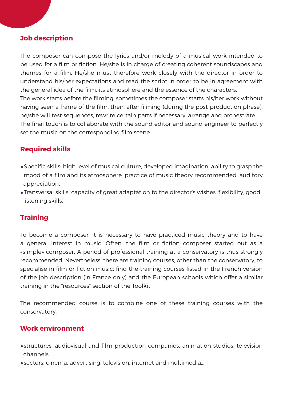#### **Job description**

The composer can compose the lyrics and/or melody of a musical work intended to be used for a film or fiction. He/she is in charge of creating coherent soundscapes and themes for a film. He/she must therefore work closely with the director in order to understand his/her expectations and read the script in order to be in agreement with the general idea of the film, its atmosphere and the essence of the characters. The work starts before the filming, sometimes the composer starts his/her work without having seen a frame of the film, then, after filming (during the post-production phase), he/she will test sequences, rewrite certain parts if necessary, arrange and orchestrate. The final touch is to collaborate with the sound editor and sound engineer to perfectly set the music on the corresponding film scene.

#### **Required skills**

- •Specific skills: high level of musical culture, developed imagination, ability to grasp the mood of a film and its atmosphere, practice of music theory recommended, auditory appreciation,
- •Transversal skills: capacity of great adaptation to the director's wishes, flexibility, good listening skills.

#### **Training**

To become a composer, it is necessary to have practiced music theory and to have a general interest in music. Often, the film or fiction composer started out as a «simple» composer. A period of professional training at a conservatory is thus strongly recommended. Nevertheless, there are training courses, other than the conservatory, to specialise in film or fiction music: find the training courses listed in the French version of the job description (in France only) and the European schools which offer a similar training in the "resources" section of the Toolkit.

The recommended course is to combine one of these training courses with the conservatory.

#### **Work environment**

- •structures: audiovisual and film production companies, animation studios, television channels...
- •sectors: cinema, advertising, television, internet and multimedia...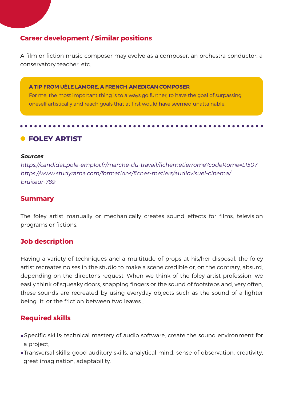#### **Career development / Similar positions**

A film or fiction music composer may evolve as a composer, an orchestra conductor, a conservatory teacher, etc.

**A TIP FROM UÈLE LAMORE, A FRENCH-AMEDICAN COMPOSER** 

For me, the most important thing is to always go further, to have the goal of surpassing oneself artistically and reach goals that at first would have seemed unattainable.

**• FOLEY ARTIST** 

#### **Sources**

https://candidat.pole-emploi.fr/marche-du-travail/fichemetierrome?codeRome=L1507 https://www.studyrama.com/formations/fiches-metiers/audiovisuel-cinema/ bruiteur-789

#### **Summary**

The foley artist manually or mechanically creates sound effects for films, television programs or fictions.

#### **Job description**

Having a variety of techniques and a multitude of props at his/her disposal, the foley artist recreates noises in the studio to make a scene credible or, on the contrary, absurd, depending on the director's request. When we think of the foley artist profession, we easily think of squeaky doors, snapping fingers or the sound of footsteps and, very often, these sounds are recreated by using everyday objects such as the sound of a lighter being lit, or the friction between two leaves...

#### **Required skills**

- •Specific skills: technical mastery of audio software, create the sound environment for a project,
- •Transversal skills: good auditory skills, analytical mind, sense of observation, creativity, great imagination, adaptability.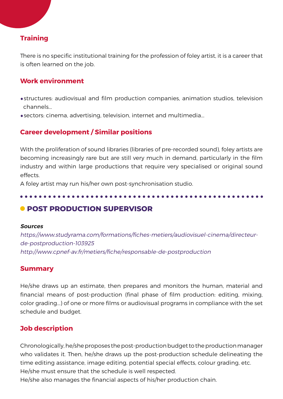#### **Training**

There is no specific institutional training for the profession of foley artist, it is a career that is often learned on the job.

#### **Work environment**

- •structures: audiovisual and film production companies, animation studios, television channels...
- •sectors: cinema, advertising, television, internet and multimedia...

#### **Career development / Similar positions**

With the proliferation of sound libraries (libraries of pre-recorded sound), foley artists are becoming increasingly rare but are still very much in demand, particularly in the film industry and within large productions that require very specialised or original sound effects.

A foley artist may run his/her own post-synchronisation studio.

#### **• POST PRODUCTION SUPERVISOR**

#### **Sources**

https://www.studyrama.com/formations/fiches-metiers/audiovisuel-cinema/directeurde-postproduction-103925 http://www.cpnef-av.fr/metiers/fiche/responsable-de-postproduction

#### **Summary**

He/she draws up an estimate, then prepares and monitors the human, material and financial means of post-production (final phase of film production: editing, mixing, color grading...) of one or more films or audiovisual programs in compliance with the set schedule and budget.

#### **Job description**

Chronologically, he/she proposes the post-production budget to the production manager who validates it. Then, he/she draws up the post-production schedule delineating the time editing assistance, image editing, potential special effects, colour grading, etc. He/she must ensure that the schedule is well respected.

He/she also manages the financial aspects of his/her production chain.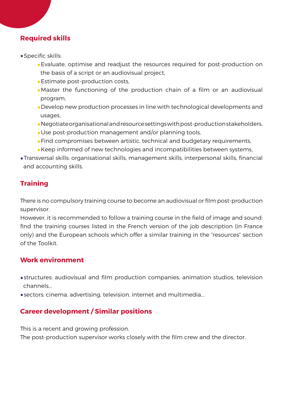#### **Required skills**

- •Specific skills:
	- •Evaluate, optimise and readjust the resources required for post-production on the basis of a script or an audiovisual project,
	- •Estimate post-production costs,
	- •Master the functioning of the production chain of a film or an audiovisual program,
	- •Develop new production processes in line with technological developments and usages,
	- •Negotiate organisational and resource settings with post-production stakeholders,
	- •Use post-production management and/or planning tools,
	- •Find compromises between artistic, technical and budgetary requirements,
	- •Keep informed of new technologies and incompatibilities between systems,
- •Transversal skills: organisational skills, management skills, interpersonal skills, financial and accounting skills.

## **Training**

There is no compulsory training course to become an audiovisual or film post-production supervisor.

However, it is recommended to follow a training course in the field of image and sound: find the training courses listed in the French version of the job description (in France only) and the European schools which offer a similar training in the "resources" section of the Toolkit.

#### **Work environment**

- •structures: audiovisual and film production companies, animation studios, television channels...
- •sectors: cinema, advertising, television, internet and multimedia...

## **Career development / Similar positions**

This is a recent and growing profession.

The post-production supervisor works closely with the film crew and the director.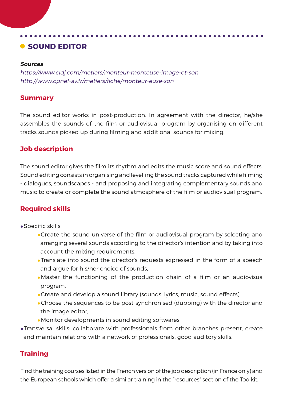# **C** SOUND EDITOR

#### **Sources**

https://www.cidj.com/metiers/monteur-monteuse-image-et-son http://www.cpnef-av.fr/metiers/fiche/monteur-euse-son

#### **Summary**

The sound editor works in post-production. In agreement with the director, he/she assembles the sounds of the film or audiovisual program by organising on different tracks sounds picked up during filming and additional sounds for mixing.

#### **Job description**

The sound editor gives the film its rhythm and edits the music score and sound effects. Sound editing consists in organising and levelling the sound tracks captured while filming - dialogues, soundscapes - and proposing and integrating complementary sounds and music to create or complete the sound atmosphere of the film or audiovisual program.

#### **Required skills**

- •Specific skills:
	- •Create the sound universe of the film or audiovisual program by selecting and arranging several sounds according to the director's intention and by taking into account the mixing requirements,
	- •Translate into sound the director's requests expressed in the form of a speech and argue for his/her choice of sounds,
	- •Master the functioning of the production chain of a film or an audiovisua program,
	- •Create and develop a sound library (sounds, lyrics, music, sound effects),
	- •Choose the sequences to be post-synchronised (dubbing) with the director and the image editor,
	- •Monitor developments in sound editing softwares.
- •Transversal skills: collaborate with professionals from other branches present, create and maintain relations with a network of professionals, good auditory skills.

#### **Training**

Find the training courses listed in the French version of the job description (in France only) and the European schools which offer a similar training in the "resources" section of the Toolkit.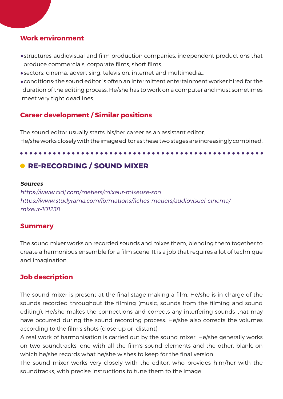#### **Work environment**

- •structures: audiovisual and film production companies, independent productions that produce commercials, corporate films, short films...
- •sectors: cinema, advertising, television, internet and multimedia...
- •conditions: the sound editor is often an intermittent entertainment worker hired for the duration of the editing process. He/she has to work on a computer and must sometimes meet very tight deadlines.

## **Career development / Similar positions**

The sound editor usually starts his/her career as an assistant editor. He/she works closely with the image editor as these two stages are increasingly combined.

# **• RE-RECORDING / SOUND MIXER**

#### **Sources**

https://www.cidj.com/metiers/mixeur-mixeuse-son https://www.studyrama.com/formations/fiches-metiers/audiovisuel-cinema/ mixeur-101238

#### **Summary**

The sound mixer works on recorded sounds and mixes them, blending them together to create a harmonious ensemble for a film scene. It is a job that requires a lot of technique and imagination.

#### **Job description**

The sound mixer is present at the final stage making a film. He/she is in charge of the sounds recorded throughout the filming (music, sounds from the filming and sound editing). He/she makes the connections and corrects any interfering sounds that may have occurred during the sound recording process. He/she also corrects the volumes according to the film's shots (close-up or distant).

A real work of harmonisation is carried out by the sound mixer. He/she generally works on two soundtracks, one with all the film's sound elements and the other, blank, on which he/she records what he/she wishes to keep for the final version.

The sound mixer works very closely with the editor, who provides him/her with the soundtracks, with precise instructions to tune them to the image.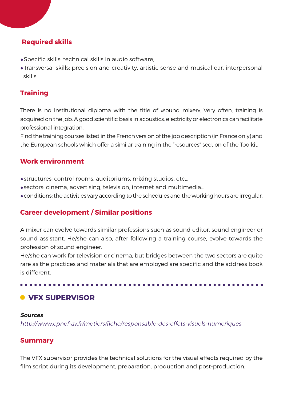#### **Required skills**

- •Specific skills: technical skills in audio software,
- •Transversal skills: precision and creativity, artistic sense and musical ear, interpersonal skills.

#### **Training**

There is no institutional diploma with the title of «sound mixer». Very often, training is acquired on the job. A good scientific basis in acoustics, electricity or electronics can facilitate professional integration.

Find the training courses listed in the French version of the job description (in France only) and the European schools which offer a similar training in the "resources" section of the Toolkit.

#### **Work environment**

- •structures: control rooms, auditoriums, mixing studios, etc...
- •sectors: cinema, advertising, television, internet and multimedia...
- •conditions: the activities vary according to the schedules and the working hours are irregular.

#### **Career development / Similar positions**

A mixer can evolve towards similar professions such as sound editor, sound engineer or sound assistant. He/she can also, after following a training course, evolve towards the profession of sound engineer.

He/she can work for television or cinema, but bridges between the two sectors are quite rare as the practices and materials that are employed are specific and the address book is different.

# $\bullet$  **VFX SUPERVISOR**

#### **Sources**

http://www.cpnef-av.fr/metiers/fiche/responsable-des-effets-visuels-numeriques

#### **Summary**

The VFX supervisor provides the technical solutions for the visual effects required by the film script during its development, preparation, production and post-production.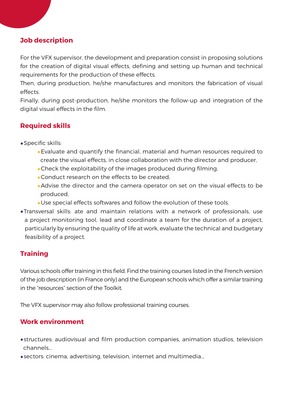#### **Job description**

For the VFX supervisor, the development and preparation consist in proposing solutions for the creation of digital visual effects, defining and setting up human and technical requirements for the production of these effects.

Then, during production, he/she manufactures and monitors the fabrication of visual effects.

Finally, during post-production, he/she monitors the follow-up and integration of the digital visual effects in the film.

## **Required skills**

- •Specific skills:
	- •Evaluate and quantify the financial, material and human resources required to create the visual effects, in close collaboration with the director and producer,
	- •Check the exploitability of the images produced during filming,
	- •Conduct research on the effects to be created,
	- •Advise the director and the camera operator on set on the visual effects to be produced,
	- •Use special effects softwares and follow the evolution of these tools.
- •Transversal skills: ate and maintain relations with a network of professionals, use a project monitoring tool, lead and coordinate a team for the duration of a project, particularly by ensuring the quality of life at work, evaluate the technical and budgetary feasibility of a project.

#### **Training**

Various schools offer training in this field. Find the training courses listed in the French version of the job description (in France only) and the European schools which offer a similar training in the "resources" section of the Toolkit.

The VFX supervisor may also follow professional training courses.

## **Work environment**

- •structures: audiovisual and film production companies, animation studios, television channels...
- •sectors: cinema, advertising, television, internet and multimedia...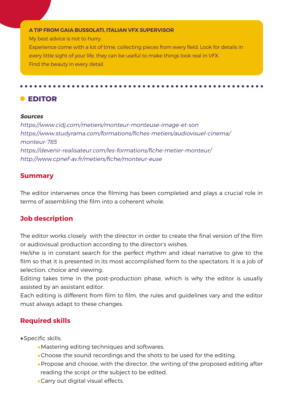#### **A TIP FROM GAIA BUSSOLATI, ITALIAN VFX SUPERVISOR**

My best advice is not to hurry.

wiy best advice is not to harry.<br>Experience come with a lot of time, collecting pieces from every field. Look for details in every little sight of your life, they can be useful to make things look real in VFX. Find the beauty in every detail.

#### **EDITOR**

#### **Sources**

https://www.cidj.com/metiers/monteur-monteuse-image-et-son https://www.studyrama.com/formations/fiches-metiers/audiovisuel-cinema/ monteur-785 https://devenir-realisateur.com/les-formations/fiche-metier-monteur/ http://www.cpnef-av.fr/metiers/fiche/monteur-euse

#### **Summary**

The editor intervenes once the filming has been completed and plays a crucial role in terms of assembling the film into a coherent whole.

#### **Job description**

The editor works closely with the director in order to create the final version of the film or audiovisual production according to the director's wishes.

He/she is in constant search for the perfect rhythm and ideal narrative to give to the film so that it is presented in its most accomplished form to the spectators. It is a job of selection, choice and viewing.

Editing takes time in the post-production phase, which is why the editor is usually assisted by an assistant editor.

Each editing is different from film to film, the rules and guidelines vary and the editor must always adapt to these changes.

#### **Required skills**

- •Specific skills:
	- •Mastering editing techniques and softwares,
	- •Choose the sound recordings and the shots to be used for the editing,
	- •Propose and choose, with the director, the writing of the proposed editing after reading the script or the subject to be edited,
	- •Carry out digital visual effects,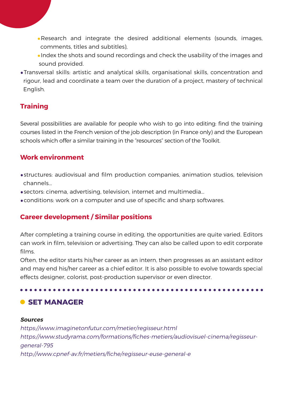- •Research and integrate the desired additional elements (sounds, images, comments, titles and subtitles),
- •Index the shots and sound recordings and check the usability of the images and sound provided.
- •Transversal skills: artistic and analytical skills, organisational skills, concentration and rigour, lead and coordinate a team over the duration of a project, mastery of technical English.

#### **Training**

Several possibilities are available for people who wish to go into editing: find the training courses listed in the French version of the job description (in France only) and the European schools which offer a similar training in the "resources" section of the Toolkit.

## **Work environment**

- •structures: audiovisual and film production companies, animation studios, television channels...
- •sectors: cinema, advertising, television, internet and multimedia...
- •conditions: work on a computer and use of specific and sharp softwares.

#### **Career development / Similar positions**

After completing a training course in editing, the opportunities are quite varied. Editors can work in film, television or advertising. They can also be called upon to edit corporate films.

Often, the editor starts his/her career as an intern, then progresses as an assistant editor and may end his/her career as a chief editor. It is also possible to evolve towards special effects designer, colorist, post-production supervisor or even director.

# **C** SET MANAGER

#### **Sources**

https://www.imaginetonfutur.com/metier/regisseur.html https://www.studyrama.com/formations/fiches-metiers/audiovisuel-cinema/regisseurgeneral-795 http://www.cpnef-av.fr/metiers/fiche/regisseur-euse-general-e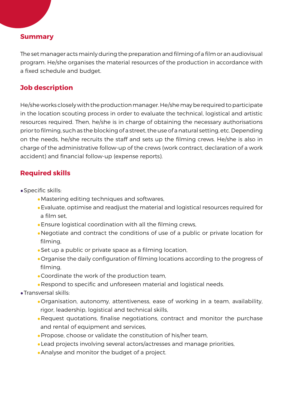### **Summary**

The set manager acts mainly during the preparation and filming of a film or an audiovisual program. He/she organises the material resources of the production in accordance with a fixed schedule and budget.

### **Job description**

He/she works closely with the production manager. He/she may be required to participate in the location scouting process in order to evaluate the technical, logistical and artistic resources required. Then, he/she is in charge of obtaining the necessary authorisations prior to filming, such as the blocking of a street, the use of a natural setting, etc. Depending on the needs, he/she recruits the staff and sets up the filming crews. He/she is also in charge of the administrative follow-up of the crews (work contract, declaration of a work accident) and financial follow-up (expense reports).

### **Required skills**

- •Specific skills:
	- •Mastering editing techniques and softwares,
	- •Evaluate, optimise and readjust the material and logistical resources required for a film set,
	- •Ensure logistical coordination with all the filming crews,
	- •Negotiate and contract the conditions of use of a public or private location for filming,
	- •Set up a public or private space as a filming location,
	- •Organise the daily configuration of filming locations according to the progress of filming,
	- •Coordinate the work of the production team,
	- •Respond to specific and unforeseen material and logistical needs.
- •Transversal skills:
	- •Organisation, autonomy, attentiveness, ease of working in a team, availability, rigor, leadership, logistical and technical skills,
	- •Request quotations, finalise negotiations, contract and monitor the purchase and rental of equipment and services,
	- •Propose, choose or validate the constitution of his/her team,
	- •Lead projects involving several actors/actresses and manage priorities,
	- •Analyse and monitor the budget of a project.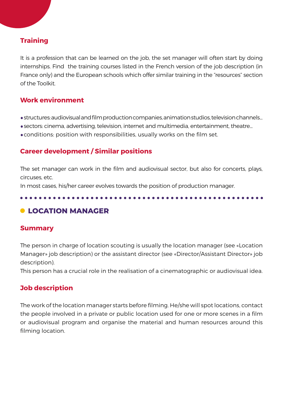### **Training**

It is a profession that can be learned on the job, the set manager will often start by doing internships. Find the training courses listed in the French version of the job description (in France only) and the European schools which offer similar training in the "resources" section of the Toolkit.

### **Work environment**

- •structures: audiovisual and film production companies, animation studios, television channels...
- •sectors: cinema, advertising, television, internet and multimedia, entertainment, theatre...
- •conditions: position with responsibilities, usually works on the film set.

### **Career development / Similar positions**

The set manager can work in the film and audiovisual sector, but also for concerts, plays, circuses, etc.

In most cases, his/her career evolves towards the position of production manager.

### **LOCATION MANAGER**

### **Summary**

The person in charge of location scouting is usually the location manager (see «Location Manager» job description) or the assistant director (see «Director/Assistant Director» job description).

This person has a crucial role in the realisation of a cinematographic or audiovisual idea.

### **Job description**

The work of the location manager starts before filming. He/she will spot locations, contact the people involved in a private or public location used for one or more scenes in a film or audiovisual program and organise the material and human resources around this filming location.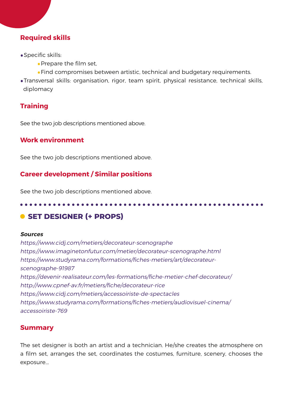### **Required skills**

- •Specific skills:
	- •Prepare the film set,
	- •Find compromises between artistic, technical and budgetary requirements.
- •Transversal skills: organisation, rigor, team spirit, physical resistance, technical skills, diplomacy

### **Training**

See the two job descriptions mentioned above.

### **Work environment**

See the two job descriptions mentioned above.

### **Career development / Similar positions**

See the two job descriptions mentioned above.

# **O** SET DESIGNER (+ PROPS)

#### **Sources**

https://www.cidj.com/metiers/decorateur-scenographe https://www.imaginetonfutur.com/metier/decorateur-scenographe.html https://www.studyrama.com/formations/fiches-metiers/art/decorateurscenographe-91987 https://devenir-realisateur.com/les-formations/fiche-metier-chef-decorateur/ http://www.cpnef-av.fr/metiers/fiche/decorateur-rice https://www.cidj.com/metiers/accessoiriste-de-spectacles https://www.studyrama.com/formations/fiches-metiers/audiovisuel-cinema/ accessoiriste-769

### **Summary**

The set designer is both an artist and a technician. He/she creates the atmosphere on a film set, arranges the set, coordinates the costumes, furniture, scenery, chooses the exposure...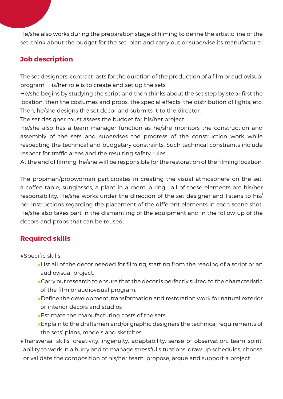He/she also works during the preparation stage of filming to define the artistic line of the set, think about the budget for the set, plan and carry out or supervise its manufacture.

### **Job description**

The set designers' contract lasts for the duration of the production of a film or audiovisual program. His/her role is to create and set up the sets.

He/she begins by studying the script and then thinks about the set step by step : first the location, then the costumes and props, the special effects, the distribution of lights, etc. Then, he/she designs the set decor and submits it to the director.

The set designer must assess the budget for his/her project.

He/she also has a team manager function as he/she monitors the construction and assembly of the sets and supervises the progress of the construction work while respecting the technical and budgetary constraints. Such technical constraints include respect for traffic areas and the resulting safety rules.

At the end of filming, he/she will be responsible for the restoration of the filming location.

The propman/propwoman participates in creating the visual atmosphere on the set: a coffee table, sunglasses, a plant in a room, a ring... all of these elements are his/her responsibility. He/she works under the direction of the set designer and listens to his/ her instructions regarding the placement of the different elements in each scene shot. He/she also takes part in the dismantling of the equipment and in the follow-up of the decors and props that can be reused.

### **Required skills**

- •Specific skills:
	- •List all of the decor needed for filming, starting from the reading of a script or an audiovisual project,
	- •Carry out research to ensure that the decor is perfectly suited to the characteristic of the film or audiovisual program,
	- •Define the development, transformation and restoration work for natural exterior or interior decors and studios
	- •Estimate the manufacturing costs of the sets
	- •Explain to the draftsmen and/or graphic designers the technical requirements of the sets' plans, models and sketches.
- •Transversal skills: creativity, ingenuity, adaptability, sense of observation, team spirit, ability to work in a hurry and to manage stressful situations, draw up schedules, choose or validate the composition of his/her team, propose, argue and support a project.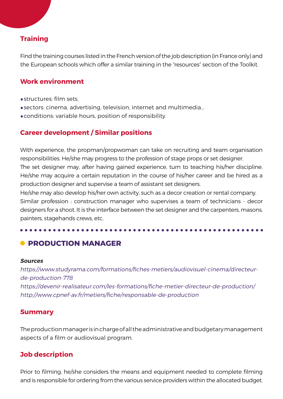## **Training**

Find the training courses listed in the French version of the job description (in France only) and the European schools which offer a similar training in the "resources" section of the Toolkit.

### **Work environment**

- •structures: film sets.
- •sectors: cinema, advertising, television, internet and multimedia...
- •conditions: variable hours, position of responsibility.

### **Career development / Similar positions**

With experience, the propman/propwoman can take on recruiting and team organisation responsibilities. He/she may progress to the profession of stage props or set designer. The set designer may, after having gained experience, turn to teaching his/her discipline. He/she may acquire a certain reputation in the course of his/her career and be hired as a production designer and supervise a team of assistant set designers.

He/she may also develop his/her own activity, such as a decor creation or rental company. Similar profession : construction manager who supervises a team of technicians - decor designers for a shoot. It is the interface between the set designer and the carpenters, masons, painters, stagehands crews, etc.

### **• PRODUCTION MANAGER**

#### **Sources**

https://www.studyrama.com/formations/fiches-metiers/audiovisuel-cinema/directeurde-production-778 https://devenir-realisateur.com/les-formations/fiche-metier-directeur-de-production/ http://www.cpnef-av.fr/metiers/fiche/responsable-de-production

### **Summary**

The production manager is in charge of all the administrative and budgetary management aspects of a film or audiovisual program.

### **Job description**

Prior to filming, he/she considers the means and equipment needed to complete filming and is responsible for ordering from the various service providers within the allocated budget.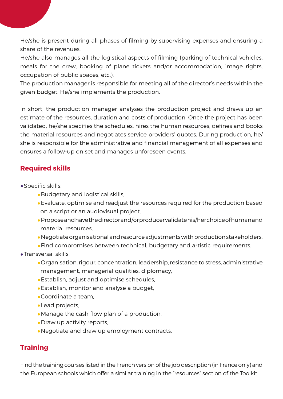He/she is present during all phases of filming by supervising expenses and ensuring a share of the revenues.

He/she also manages all the logistical aspects of filming (parking of technical vehicles, meals for the crew, booking of plane tickets and/or accommodation, image rights, occupation of public spaces, etc.).

The production manager is responsible for meeting all of the director's needs within the given budget. He/she implements the production.

In short, the production manager analyses the production project and draws up an estimate of the resources, duration and costs of production. Once the project has been validated, he/she specifies the schedules, hires the human resources, defines and books the material resources and negotiates service providers' quotes. During production, he/ she is responsible for the administrative and financial management of all expenses and ensures a follow-up on set and manages unforeseen events.

### **Required skills**

- •Specific skills:
	- •Budgetary and logistical skills,
	- •Evaluate, optimise and readjust the resources required for the production based on a script or an audiovisual project,
	- •Propose and have the director and/or producer validate his/her choice of human and material resources,
	- •Negotiate organisational and resource adjustments with production stakeholders,
	- •Find compromises between technical, budgetary and artistic requirements.
- •Transversal skills:
	- •Organisation, rigour, concentration, leadership, resistance to stress, administrative management, managerial qualities, diplomacy,
	- •Establish, adjust and optimise schedules,
	- •Establish, monitor and analyse a budget,
	- •Coordinate a team,
	- •Lead projects,
	- •Manage the cash flow plan of a production,
	- •Draw up activity reports,
	- •Negotiate and draw up employment contracts.

### **Training**

Find the training courses listed in the French version of the job description (in France only) and the European schools which offer a similar training in the "resources" section of the Toolkit. .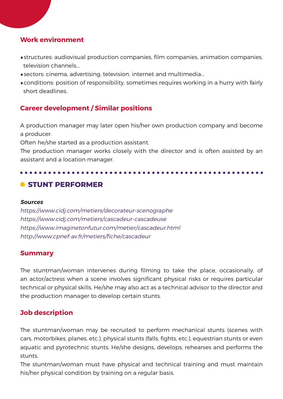### **Work environment**

- •structures: audiovisual production companies, film companies, animation companies, television channels...
- •sectors: cinema, advertising, television, internet and multimedia...
- •conditions: position of responsibility, sometimes requires working in a hurry with fairly short deadlines.

### **Career development / Similar positions**

A production manager may later open his/her own production company and become a producer.

Often he/she started as a production assistant.

The production manager works closely with the director and is often assisted by an assistant and a location manager.

### **C** STUNT PERFORMER

#### **Sources**

https://www.cidj.com/metiers/decorateur-scenographe https://www.cidj.com/metiers/cascadeur-cascadeuse https://www.imaginetonfutur.com/metier/cascadeur.html http://www.cpnef-av.fr/metiers/fiche/cascadeur

### **Summary**

The stuntman/woman intervenes during filming to take the place, occasionally, of an actor/actress when a scene involves significant physical risks or requires particular technical or physical skills. He/she may also act as a technical advisor to the director and the production manager to develop certain stunts.

### **Job description**

The stuntman/woman may be recruited to perform mechanical stunts (scenes with cars, motorbikes, planes, etc.), physical stunts (falls, fights, etc.), equestrian stunts or even aquatic and pyrotechnic stunts. He/she designs, develops, rehearses and performs the stunts.

The stuntman/woman must have physical and technical training and must maintain his/her physical condition by training on a regular basis.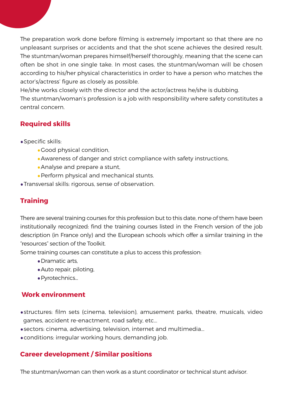The preparation work done before filming is extremely important so that there are no unpleasant surprises or accidents and that the shot scene achieves the desired result. The stuntman/woman prepares himself/herself thoroughly, meaning that the scene can often be shot in one single take. In most cases, the stuntman/woman will be chosen according to his/her physical characteristics in order to have a person who matches the actor's/actress' figure as closely as possible.

He/she works closely with the director and the actor/actress he/she is dubbing.

The stuntman/woman's profession is a job with responsibility where safety constitutes a central concern.

### **Required skills**

### •Specific skills:

- •Good physical condition,
- •Awareness of danger and strict compliance with safety instructions,
- •Analyse and prepare a stunt,
- •Perform physical and mechanical stunts.
- •Transversal skills: rigorous, sense of observation.

### **Training**

There are several training courses for this profession but to this date, none of them have been institutionally recognized: find the training courses listed in the French version of the job description (in France only) and the European schools which offer a similar training in the "resources" section of the Toolkit.

Some training courses can constitute a plus to access this profession:

- •Dramatic arts,
- •Auto repair, piloting,
- •Pyrotechnics...

### **Work environment**

- •structures: film sets (cinema, television), amusement parks, theatre, musicals, video games, accident re-enactment, road safety, etc...
- •sectors: cinema, advertising, television, internet and multimedia...
- •conditions: irregular working hours, demanding job.

### **Career development / Similar positions**

The stuntman/woman can then work as a stunt coordinator or technical stunt advisor.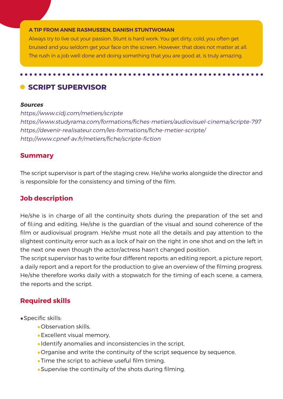#### **A TIP FROM ANNE RASMUSSEN, DANISH STUNTWOMAN**

her can also constructed in fights, fights, fights, fights, fights, fights, fights, fights, fights, fights, fights, Always try to live out your passion. Stunt is hard work. You get dirty, cold, you often get bruised and you seldom get your face on the screen. However, that does not matter at all. The rush in a job well done and doing something that you are good at, is truly amazing.

### **C** SCRIPT SUPERVISOR

#### **Sources**

https://www.cidj.com/metiers/scripte https://www.studyrama.com/formations/fiches-metiers/audiovisuel-cinema/scripte-797 https://devenir-realisateur.com/les-formations/fiche-metier-scripte/ http://www.cpnef-av.fr/metiers/fiche/scripte-fiction

#### **Summary**

The script supervisor is part of the staging crew. He/she works alongside the director and is responsible for the consistency and timing of the film.

#### **Job description**

He/she is in charge of all the continuity shots during the preparation of the set and of fil;ing and editing. He/she is the guardian of the visual and sound coherence of the film or audiovisual program. He/she must note all the details and pay attention to the slightest continuity error such as a lock of hair on the right in one shot and on the left in the next one even though the actor/actress hasn't changed position.

The script supervisor has to write four different reports: an editing report, a picture report, a daily report and a report for the production to give an overview of the filming progress. He/she therefore works daily with a stopwatch for the timing of each scene, a camera, the reports and the script.

#### **Required skills**

- •Specific skills:
	- •Observation skills,
	- •Excellent visual memory,
	- •Identify anomalies and inconsistencies in the script,
	- •Organise and write the continuity of the script sequence by sequence,
	- •Time the script to achieve useful film timing,
	- •Supervise the continuity of the shots during filming.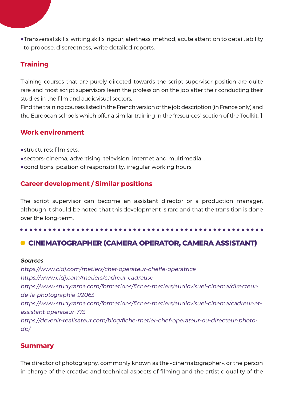•Transversal skills: writing skills, rigour, alertness, method, acute attention to detail, ability to propose, discreetness, write detailed reports.

## **Training**

Training courses that are purely directed towards the script supervisor position are quite rare and most script supervisors learn the profession on the job after their conducting their studies in the film and audiovisual sectors.

Find the training courses listed in the French version of the job description (in France only) and the European schools which offer a similar training in the "resources" section of the Toolkit. ]

### **Work environment**

- •structures: film sets.
- •sectors: cinema, advertising, television, internet and multimedia...
- •conditions: position of responsibility, irregular working hours.

### **Career development / Similar positions**

The script supervisor can become an assistant director or a production manager, although it should be noted that this development is rare and that the transition is done over the long-term.

## **CINEMATOGRAPHER (CAMERA OPERATOR, CAMERA ASSISTANT)**

#### **Sources**

https://www.cidj.com/metiers/chef-operateur-cheffe-operatrice https://www.cidj.com/metiers/cadreur-cadreuse https://www.studyrama.com/formations/fiches-metiers/audiovisuel-cinema/directeurde-la-photographie-92063 https://www.studyrama.com/formations/fiches-metiers/audiovisuel-cinema/cadreur-etassistant-operateur-773 https://devenir-realisateur.com/blog/fiche-metier-chef-operateur-ou-directeur-photodp/

### **Summary**

The director of photography, commonly known as the «cinematographer», or the person in charge of the creative and technical aspects of filming and the artistic quality of the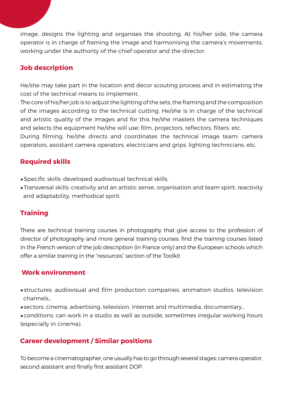image, designs the lighting and organises the shooting. At his/her side, the camera operator is in charge of framing the image and harmonising the camera's movements, working under the authority of the chief operator and the director.

### **Job description**

He/she may take part in the location and decor scouting process and in estimating the cost of the technical means to implement.

The core of his/her job is to adjust the lighting of the sets, the framing and the composition of the images according to the technical cutting. He/she is in charge of the technical and artistic quality of the images and for this he/she masters the camera techniques and selects the equipment he/she will use: film, projectors, reflectors, filters, etc.

During filming, he/she directs and coordinates the technical image team: camera operators, assistant camera operators, electricians and grips, lighting technicians, etc.

### **Required skills**

- •Specific skills: developed audiovisual technical skills.
- •Transversal skills: creativity and an artistic sense, organisation and team spirit, reactivity and adaptability, methodical spirit.

### **Training**

There are technical training courses in photography that give access to the profession of director of photography and more general training courses: find the training courses listed in the French version of the job description (in France only) and the European schools which offer a similar training in the "resources" section of the Toolkit

### **Work environment**

- •structures: audiovisual and film production companies, animation studios, television channels...
- •sectors: cinema, advertising, television, internet and multimedia, documentary...
- •conditions: can work in a studio as well as outside, sometimes irregular working hours (especially in cinema).

### **Career development / Similar positions**

To become a cinematographer, one usually has to go through several stages: camera operator, second assistant and finally first assistant DOP.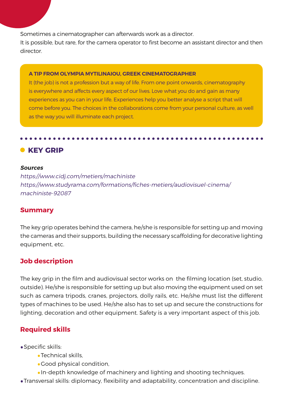Sometimes a cinematographer can afterwards work as a director.

It is possible, but rare, for the camera operator to first become an assistant director and then director.

#### **A TIP FROM OLYMPIA MYTILINAIOU, GREEK CINEMATOGRAPHER**

It (the job) is not a profession but a way of life. From one point onwards, cinematography is everywhere and affects every aspect of our lives. Love what you do and gain as many experiences as you can in your life. Experiences help you better analyse a script that will come before you. The choices in the collaborations come from your personal culture, as well as the way you will illuminate each project.

### **• KEY GRIP**

#### **Sources**

https://www.cidj.com/metiers/machiniste https://www.studyrama.com/formations/fiches-metiers/audiovisuel-cinema/ machiniste-92087

### **Summary**

The key grip operates behind the camera, he/she is responsible for setting up and moving the cameras and their supports, building the necessary scaffolding for decorative lighting equipment, etc.

### **Job description**

The key grip in the film and audiovisual sector works on the filming location (set, studio, outside). He/she is responsible for setting up but also moving the equipment used on set such as camera tripods, cranes, projectors, dolly rails, etc. He/she must list the different types of machines to be used. He/she also has to set up and secure the constructions for lighting, decoration and other equipment. Safety is a very important aspect of this job.

### **Required skills**

- •Specific skills:
	- •Technical skills,
	- •Good physical condition,
	- •In-depth knowledge of machinery and lighting and shooting techniques.
- •Transversal skills: diplomacy, flexibility and adaptability, concentration and discipline.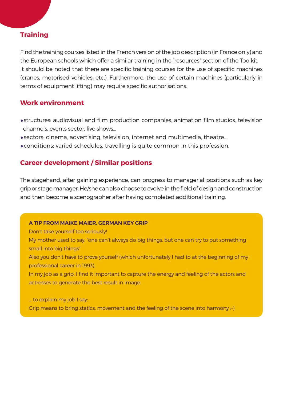### **Training**

Find the training courses listed in the French version of the job description (in France only) and the European schools which offer a similar training in the "resources" section of the Toolkit. It should be noted that there are specific training courses for the use of specific machines (cranes, motorised vehicles, etc.). Furthermore, the use of certain machines (particularly in terms of equipment lifting) may require specific authorisations.

### **Work environment**

- •structures: audiovisual and film production companies, animation film studios, television channels, events sector, live shows...
- •sectors: cinema, advertising, television, internet and multimedia, theatre...
- •conditions: varied schedules, travelling is quite common in this profession.

### **Career development / Similar positions**

The stagehand, after gaining experience, can progress to managerial positions such as key grip or stage manager. He/she can also choose to evolve in the field of design and construction and then become a scenographer after having completed additional training.

#### **A TIP FROM MAIKE MAIER, GERMAN KEY GRIP**

Don't take yourself too seriously!

My mother used to say: "one can't always do big things, but one can try to put something small into big things"

Also you don't have to prove yourself (which unfortunately I had to at the beginning of my professional career in 1993).

In my job as a grip, I find it important to capture the energy and feeling of the actors and actresses to generate the best result in image.

... to explain my job I say:

Grip means to bring statics, movement and the feeling of the scene into harmony ;-)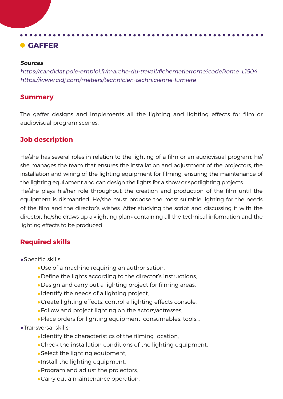## **GAFFER**

#### **Sources**

https://candidat.pole-emploi.fr/marche-du-travail/fichemetierrome?codeRome=L1504 https://www.cidj.com/metiers/technicien-technicienne-lumiere

### **Summary**

The gaffer designs and implements all the lighting and lighting effects for film or audiovisual program scenes.

### **Job description**

He/she has several roles in relation to the lighting of a film or an audiovisual program: he/ she manages the team that ensures the installation and adjustment of the projectors, the installation and wiring of the lighting equipment for filming, ensuring the maintenance of the lighting equipment and can design the lights for a show or spotlighting projects.

He/she plays his/her role throughout the creation and production of the film until the equipment is dismantled. He/she must propose the most suitable lighting for the needs of the film and the director's wishes. After studying the script and discussing it with the director, he/she draws up a «lighting plan» containing all the technical information and the lighting effects to be produced.

### **Required skills**

- •Specific skills:
	- •Use of a machine requiring an authorisation,
	- •Define the lights according to the director's instructions,
	- •Design and carry out a lighting project for filming areas,
	- •Identify the needs of a lighting project,
	- •Create lighting effects, control a lighting effects console,
	- •Follow and project lighting on the actors/actresses,
	- •Place orders for lighting equipment, consumables, tools...
- •Transversal skills:
	- •Identify the characteristics of the filming location,
	- •Check the installation conditions of the lighting equipment,
	- •Select the lighting equipment,
	- •Install the lighting equipment,
	- •Program and adjust the projectors,
	- •Carry out a maintenance operation,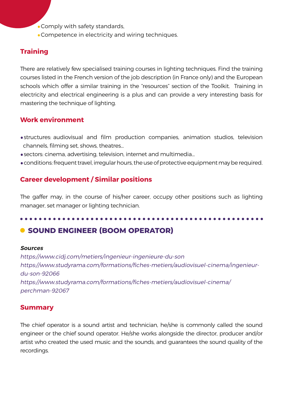•Comply with safety standards,

•Competence in electricity and wiring techniques.

### **Training**

There are relatively few specialised training courses in lighting techniques. Find the training courses listed in the French version of the job description (in France only) and the European schools which offer a similar training in the "resources" section of the Toolkit. Training in electricity and electrical engineering is a plus and can provide a very interesting basis for mastering the technique of lighting.

### **Work environment**

- •structures: audiovisual and film production companies, animation studios, television channels, filming set, shows, theatres...
- •sectors: cinema, advertising, television, internet and multimedia...
- •conditions: frequent travel, irregular hours, the use of protective equipment may be required.

### **Career development / Similar positions**

The gaffer may, in the course of his/her career, occupy other positions such as lighting manager, set manager or lighting technician.

## **C** SOUND ENGINEER (BOOM OPERATOR)

#### **Sources**

https://www.cidj.com/metiers/ingenieur-ingenieure-du-son https://www.studyrama.com/formations/fiches-metiers/audiovisuel-cinema/ingenieurdu-son-92066 https://www.studyrama.com/formations/fiches-metiers/audiovisuel-cinema/ perchman-92067

### **Summary**

The chief operator is a sound artist and technician, he/she is commonly called the sound engineer or the chief sound operator. He/she works alongside the director, producer and/or artist who created the used music and the sounds, and guarantees the sound quality of the recordings.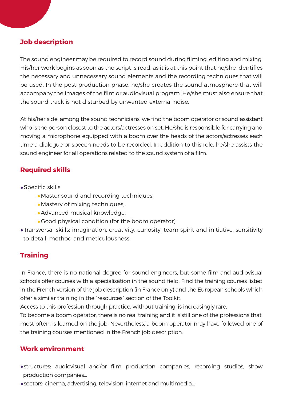### **Job description**

The sound engineer may be required to record sound during filming, editing and mixing. His/her work begins as soon as the script is read, as it is at this point that he/she identifies the necessary and unnecessary sound elements and the recording techniques that will be used. In the post-production phase, he/she creates the sound atmosphere that will accompany the images of the film or audiovisual program. He/she must also ensure that the sound track is not disturbed by unwanted external noise.

At his/her side, among the sound technicians, we find the boom operator or sound assistant who is the person closest to the actors/actresses on set. He/she is responsible for carrying and moving a microphone equipped with a boom over the heads of the actors/actresses each time a dialogue or speech needs to be recorded. In addition to this role, he/she assists the sound engineer for all operations related to the sound system of a film.

### **Required skills**

- •Specific skills:
	- •Master sound and recording techniques,
	- •Mastery of mixing techniques,
	- •Advanced musical knowledge,
	- •Good physical condition (for the boom operator).
- •Transversal skills: imagination, creativity, curiosity, team spirit and initiative, sensitivity to detail, method and meticulousness.

### **Training**

In France, there is no national degree for sound engineers, but some film and audiovisual schools offer courses with a specialisation in the sound field. Find the training courses listed in the French version of the job description (in France only) and the European schools which offer a similar training in the "resources" section of the Toolkit.

Access to this profession through practice, without training, is increasingly rare.

To become a boom operator, there is no real training and it is still one of the professions that, most often, is learned on the job. Nevertheless, a boom operator may have followed one of the training courses mentioned in the French job description.

### **Work environment**

- •structures: audiovisual and/or film production companies, recording studios, show production companies...
- •sectors: cinema, advertising, television, internet and multimedia...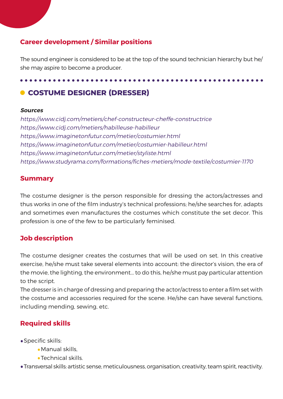### **Career development / Similar positions**

The sound engineer is considered to be at the top of the sound technician hierarchy but he/ she may aspire to become a producer.

## **COSTUME DESIGNER (DRESSER)**

#### **Sources**

https://www.cidj.com/metiers/chef-constructeur-cheffe-constructrice https://www.cidj.com/metiers/habilleuse-habilleur https://www.imaginetonfutur.com/metier/costumier.html https://www.imaginetonfutur.com/metier/costumier-habilleur.html https://www.imaginetonfutur.com/metier/styliste.html https://www.studyrama.com/formations/fiches-metiers/mode-textile/costumier-1170

### **Summary**

The costume designer is the person responsible for dressing the actors/actresses and thus works in one of the film industry's technical professions; he/she searches for, adapts and sometimes even manufactures the costumes which constitute the set decor. This profession is one of the few to be particularly feminised.

### **Job description**

The costume designer creates the costumes that will be used on set. In this creative exercise, he/she must take several elements into account: the director's vision, the era of the movie, the lighting, the environment... to do this, he/she must pay particular attention to the script.

The dresser is in charge of dressing and preparing the actor/actress to enter a film set with the costume and accessories required for the scene. He/she can have several functions, including mending, sewing, etc.

### **Required skills**

- •Specific skills:
	- •Manual skills,
	- •Technical skills.
- •Transversal skills: artistic sense, meticulousness, organisation, creativity, team spirit, reactivity.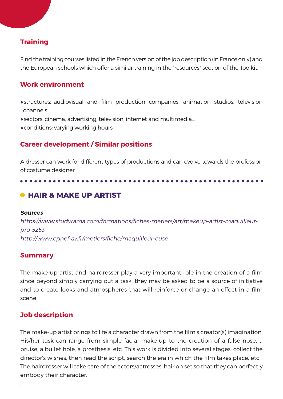### **Training**

Find the training courses listed in the French version of the job description (in France only) and the European schools which offer a similar training in the "resources" section of the Toolkit.

### **Work environment**

- •structures: audiovisual and film production companies, animation studios, television channels...
- •sectors: cinema, advertising, television, internet and multimedia...
- •conditions: varying working hours.

### **Career development / Similar positions**

A dresser can work for different types of productions and can evolve towards the profession of costume designer.

### $\bullet$  **HAIR & MAKE UP ARTIST**

#### **Sources**

https://www.studyrama.com/formations/fiches-metiers/art/makeup-artist-maquilleurpro-5253 http://www.cpnef-av.fr/metiers/fiche/maquilleur-euse

### **Summary**

The make-up artist and hairdresser play a very important role in the creation of a film since beyond simply carrying out a task, they may be asked to be a source of initiative and to create looks and atmospheres that will reinforce or change an effect in a film scene.

### **Job description**

.

The make-up artist brings to life a character drawn from the film's creator(s) imagination. His/her task can range from simple facial make-up to the creation of a false nose, a bruise, a bullet hole, a prosthesis, etc. This work is divided into several stages: collect the director's wishes, then read the script, search the era in which the film takes place, etc. The hairdresser will take care of the actors/actresses' hair on set so that they can perfectly embody their character.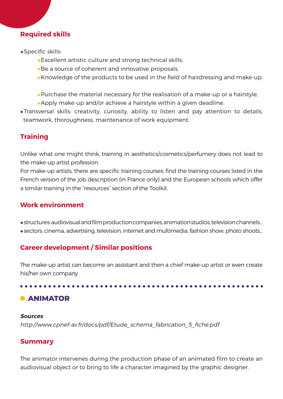### **Required skills**

- •Specific skills:
	- •Excellent artistic culture and strong technical skills,
	- •Be a source of coherent and innovative proposals,
	- •Knowledge of the products to be used in the field of hairdressing and make-up,
	- •Purchase the material necessary for the realisation of a make-up or a hairstyle,
	- •Apply make-up and/or achieve a hairstyle within a given deadline.
- •Transversal skills: creativity, curiosity, ability to listen and pay attention to details, teamwork, thoroughness, maintenance of work equipment.

### **Training**

Unlike what one might think, training in aesthetics/cosmetics/perfumery does not lead to the make-up artist profession.

For make-up artists, there are specific training courses: find the training courses listed in the French version of the job description (in France only) and the European schools which offer a similar training in the "resources" section of the Toolkit.

### **Work environment**

- •structures: audiovisual and film production companies, animation studios, television channels...
- •sectors: cinema, advertising, television, internet and multimedia, fashion show, photo shoots...

### **Career development / Similar positions**

The make-up artist can become an assistant and then a chief make-up artist or even create his/her own company

## **C** ANIMATOR

# **Sources**

http://www.cpnef-av.fr/docs/pdf/Etude\_schema\_fabrication\_5\_fiche.pdf

### **Summary**

The animator intervenes during the production phase of an animated film to create an audiovisual object or to bring to life a character imagined by the graphic designer.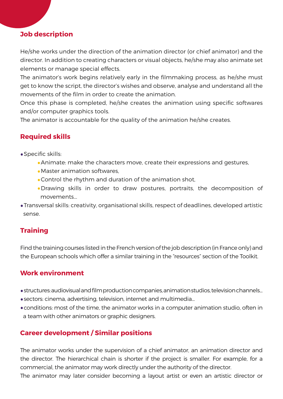### **Job description**

He/she works under the direction of the animation director (or chief animator) and the director. In addition to creating characters or visual objects, he/she may also animate set elements or manage special effects.

The animator's work begins relatively early in the filmmaking process, as he/she must get to know the script, the director's wishes and observe, analyse and understand all the movements of the film in order to create the animation.

Once this phase is completed, he/she creates the animation using specific softwares and/or computer graphics tools.

The animator is accountable for the quality of the animation he/she creates.

### **Required skills**

- •Specific skills:
	- •Animate: make the characters move, create their expressions and gestures,
	- •Master animation softwares,
	- •Control the rhythm and duration of the animation shot,
	- •Drawing skills in order to draw postures, portraits, the decomposition of movements...
- •Transversal skills: creativity, organisational skills, respect of deadlines, developed artistic sense.

### **Training**

Find the training courses listed in the French version of the job description (in France only) and the European schools which offer a similar training in the "resources" section of the Toolkit.

### **Work environment**

- •structures: audiovisual and film production companies, animation studios, television channels...
- •sectors: cinema, advertising, television, internet and multimedia...
- •conditions: most of the time, the animator works in a computer animation studio, often in a team with other animators or graphic designers.

### **Career development / Similar positions**

The animator works under the supervision of a chief animator, an animation director and the director. The hierarchical chain is shorter if the project is smaller. For example, for a commercial, the animator may work directly under the authority of the director.

The animator may later consider becoming a layout artist or even an artistic director or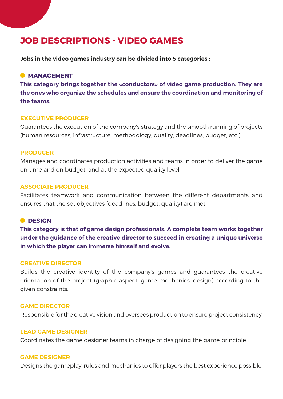# **JOB DESCRIPTIONS - VIDEO GAMES**

**Jobs in the video games industry can be divided into 5 categories :**

#### **MANAGEMENT**

**This category brings together the «conductors» of video game production. They are the ones who organize the schedules and ensure the coordination and monitoring of the teams.**

#### **EXECUTIVE PRODUCER**

Guarantees the execution of the company's strategy and the smooth running of projects (human resources, infrastructure, methodology, quality, deadlines, budget, etc.).

#### **PRODUCER**

Manages and coordinates production activities and teams in order to deliver the game on time and on budget, and at the expected quality level.

#### **ASSOCIATE PRODUCER**

Facilitates teamwork and communication between the different departments and ensures that the set objectives (deadlines, budget, quality) are met.

#### **O** DESIGN

**This category is that of game design professionals. A complete team works together under the guidance of the creative director to succeed in creating a unique universe in which the player can immerse himself and evolve.**

#### **CREATIVE DIRECTOR**

Builds the creative identity of the company's games and guarantees the creative orientation of the project (graphic aspect, game mechanics, design) according to the given constraints.

#### **GAME DIRECTOR**

Responsible for the creative vision and oversees production to ensure project consistency.

#### **LEAD GAME DESIGNER**

Coordinates the game designer teams in charge of designing the game principle.

#### **GAME DESIGNER**

Designs the gameplay, rules and mechanics to offer players the best experience possible.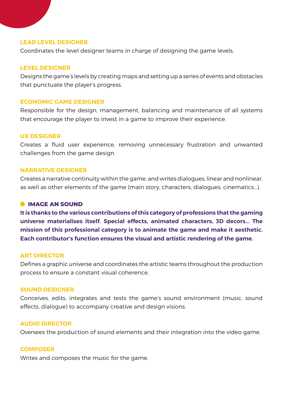#### **LEAD LEVEL DESIGNER**

Coordinates the level designer teams in charge of designing the game levels.

#### **LEVEL DESIGNER**

Designs the game's levels by creating maps and setting up a series of events and obstacles that punctuate the player's progress.

#### **ECONOMIC GAME DESIGNER**

Responsible for the design, management, balancing and maintenance of all systems that encourage the player to invest in a game to improve their experience.

#### **UX DESIGNER**

Creates a fluid user experience, removing unnecessary frustration and unwanted challenges from the game design.

#### **NARRATIVE DESIGNER**

Creates a narrative continuity within the game, and writes dialogues, linear and nonlinear, as well as other elements of the game (main story, characters, dialogues, cinematics...).

#### $\bullet$  **IMAGE AN SOUND**

**It is thanks to the various contributions of this category of professions that the gaming universe materialises itself. Special effects, animated characters, 3D decors... The mission of this professional category is to animate the game and make it aesthetic. Each contributor's function ensures the visual and artistic rendering of the game.**

#### **ART DIRECTOR**

Defines a graphic universe and coordinates the artistic teams throughout the production process to ensure a constant visual coherence.

#### **SOUND DESIGNER**

Conceives, edits, integrates and tests the game's sound environment (music, sound effects, dialogue) to accompany creative and design visions.

#### **AUDIO DIRECTOR**

Oversees the production of sound elements and their integration into the video game.

#### **COMPOSER**

Writes and composes the music for the game.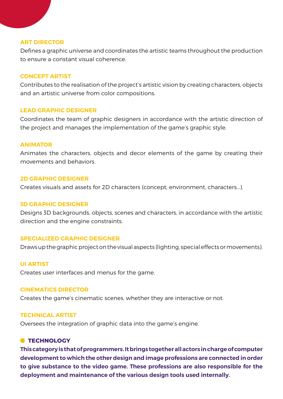#### **ART DIRECTOR**

Defines a graphic universe and coordinates the artistic teams throughout the production to ensure a constant visual coherence.

#### **CONCEPT ARTIST**

Contributes to the realisation of the project's artistic vision by creating characters, objects and an artistic universe from color compositions.

#### **LEAD GRAPHIC DESIGNER**

Coordinates the team of graphic designers in accordance with the artistic direction of the project and manages the implementation of the game's graphic style.

#### **ANIMATOR**

Animates the characters, objects and decor elements of the game by creating their movements and behaviors.

#### **2D GRAPHIC DESIGNER**

Creates visuals and assets for 2D characters (concept, environment, characters...).

#### **3D GRAPHIC DESIGNER**

Designs 3D backgrounds, objects, scenes and characters, in accordance with the artistic direction and the engine constraints.

#### **SPECIALIZED GRAPHIC DESIGNER**

Draws up the graphic project on the visual aspects (lighting, special effects or movements).

#### **UI ARTIST**

Creates user interfaces and menus for the game.

#### **CINEMATICS DIRECTOR**

Creates the game's cinematic scenes, whether they are interactive or not.

#### **TECHNICAL ARTIST**

Oversees the integration of graphic data into the game's engine.

#### **C** TECHNOLOGY

**This category is that of programmers. It brings together all actors in charge of computer development to which the other design and image professions are connected in order to give substance to the video game. These professions are also responsible for the deployment and maintenance of the various design tools used internally.**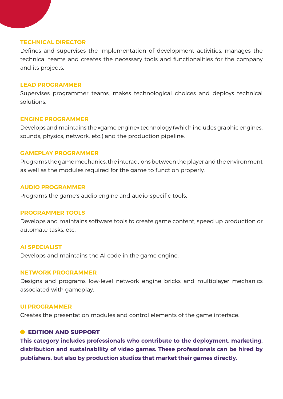#### **TECHNICAL DIRECTOR**

Defines and supervises the implementation of development activities, manages the technical teams and creates the necessary tools and functionalities for the company and its projects.

#### **LEAD PROGRAMMER**

Supervises programmer teams, makes technological choices and deploys technical solutions.

#### **ENGINE PROGRAMMER**

Develops and maintains the «game engine» technology (which includes graphic engines, sounds, physics, network, etc.) and the production pipeline.

#### **GAMEPLAY PROGRAMMER**

Programs the game mechanics, the interactions between the player and the environment as well as the modules required for the game to function properly.

#### **AUDIO PROGRAMMER**

Programs the game's audio engine and audio-specific tools.

#### **PROGRAMMER TOOLS**

Develops and maintains software tools to create game content, speed up production or automate tasks, etc.

#### **AI SPECIALIST**

Develops and maintains the AI code in the game engine.

#### **NETWORK PROGRAMMER**

Designs and programs low-level network engine bricks and multiplayer mechanics associated with gameplay.

#### **UI PROGRAMMER**

Creates the presentation modules and control elements of the game interface.

#### **EDITION AND SUPPORT**

**This category includes professionals who contribute to the deployment, marketing, distribution and sustainability of video games. These professionals can be hired by publishers, but also by production studios that market their games directly.**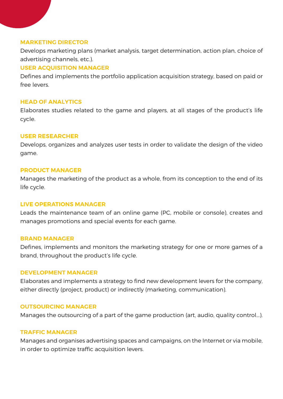#### **MARKETING DIRECTOR**

Develops marketing plans (market analysis, target determination, action plan, choice of advertising channels, etc.).

#### **USER ACQUISITION MANAGER**

Defines and implements the portfolio application acquisition strategy, based on paid or free levers.

#### **HEAD OF ANALYTICS**

Elaborates studies related to the game and players, at all stages of the product's life cycle.

#### **USER RESEARCHER**

Develops, organizes and analyzes user tests in order to validate the design of the video game.

#### **PRODUCT MANAGER**

Manages the marketing of the product as a whole, from its conception to the end of its life cycle.

#### **LIVE OPERATIONS MANAGER**

Leads the maintenance team of an online game (PC, mobile or console), creates and manages promotions and special events for each game.

#### **BRAND MANAGER**

Defines, implements and monitors the marketing strategy for one or more games of a brand, throughout the product's life cycle.

#### **DEVELOPMENT MANAGER**

Elaborates and implements a strategy to find new development levers for the company, either directly (project, product) or indirectly (marketing, communication).

#### **OUTSOURCING MANAGER**

Manages the outsourcing of a part of the game production (art, audio, quality control...).

#### **TRAFFIC MANAGER**

Manages and organises advertising spaces and campaigns, on the Internet or via mobile, in order to optimize traffic acquisition levers.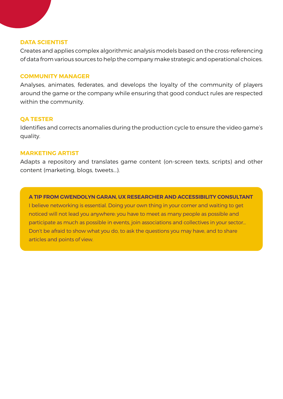#### **DATA SCIENTIST**

Creates and applies complex algorithmic analysis models based on the cross-referencing of data from various sources to help the company make strategic and operational choices.

#### **COMMUNITY MANAGER**

Analyses, animates, federates, and develops the loyalty of the community of players around the game or the company while ensuring that good conduct rules are respected within the community.

#### **QA TESTER**

Identifies and corrects anomalies during the production cycle to ensure the video game's quality.

#### **MARKETING ARTIST**

Adapts a repository and translates game content (on-screen texts, scripts) and other content (marketing, blogs, tweets...).

**A TIP FROM GWENDOLYN GARAN, UX RESEARCHER AND ACCESSIBILITY CONSULTANT** I believe networking is essential. Doing your own thing in your corner and waiting to get noticed will not lead you anywhere: you have to meet as many people as possible and participate as much as possible in events, join associations and collectives in your sector… Don't be afraid to show what you do, to ask the questions you may have, and to share articles and points of view.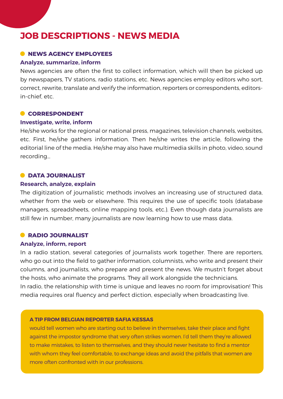# **JOB DESCRIPTIONS - NEWS MEDIA**

#### $\bullet$  **NEWS AGENCY EMPLOYEES**

#### **Analyze, summarize, inform**

News agencies are often the first to collect information, which will then be picked up by newspapers, TV stations, radio stations, etc. News agencies employ editors who sort, correct, rewrite, translate and verify the information, reporters or correspondents, editorsin-chief, etc.

#### **CORRESPONDENT**

#### **Investigate, write, inform**

He/she works for the regional or national press, magazines, television channels, websites, etc. First, he/she gathers information. Then he/she writes the article, following the editorial line of the media. He/she may also have multimedia skills in photo, video, sound recording…

#### **C**DATA JOURNALIST

#### **Research, analyze, explain**

The digitization of journalistic methods involves an increasing use of structured data, whether from the web or elsewhere. This requires the use of specific tools (database managers, spreadsheets, online mapping tools, etc.). Even though data journalists are still few in number, many journalists are now learning how to use mass data.

#### **C**RADIO JOURNALIST

#### **Analyze, inform, report**

In a radio station, several categories of journalists work together. There are reporters, who go out into the field to gather information, columnists, who write and present their columns, and journalists, who prepare and present the news. We mustn't forget about the hosts, who animate the programs. They all work alongside the technicians. In radio, the relationship with time is unique and leaves no room for improvisation! This media requires oral fluency and perfect diction, especially when broadcasting live.

#### **A TIP FROM BELGIAN REPORTER SAFIA KESSAS**

would tell women who are starting out to believe in themselves, take their place and fight against the impostor syndrome that very often strikes women. I'd tell them they're allowed to make mistakes, to listen to themselves, and they should never hesitate to find a mentor with whom they feel comfortable, to exchange ideas and avoid the pitfalls that women are more often confronted with in our professions.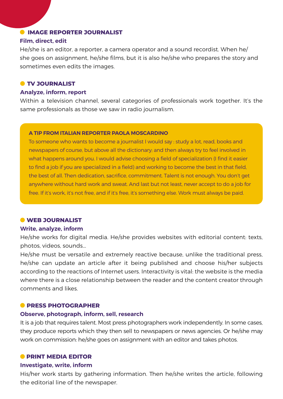### **O IMAGE REPORTER JOURNALIST**

#### **Film, direct, edit**

He/she is an editor, a reporter, a camera operator and a sound recordist. When he/ she goes on assignment, he/she films, but it is also he/she who prepares the story and sometimes even edits the images.

#### **O** TV JOURNALIST

#### **Analyze, inform, report**

Within a television channel, several categories of professionals work together. It's the same professionals as those we saw in radio journalism.

#### **A TIP FROM ITALIAN REPORTER PAOLA MOSCARDINO**

To someone who wants to become a journalist I would say : study a lot, read, books and newspapers of course, but above all the dictionary; and then always try to feel involved in what happens around you. I would advise choosing a field of specialization (I find it easier to find a job if you are specialized in a field) and working to become the best in that field, the best of all. Then dedication, sacrifice, commitment. Talent is not enough. You don't get anywhere without hard work and sweat. And last but not least, never accept to do a job for free. If it's work, it's not free, and if it's free, it's something else. Work must always be paid.

#### $\bullet$  **WEB JOURNALIST**

#### **Write, analyze, inform**

He/she works for digital media. He/she provides websites with editorial content: texts, photos, videos, sounds...

He/she must be versatile and extremely reactive because, unlike the traditional press, he/she can update an article after it being published and choose his/her subjects according to the reactions of Internet users. Interactivity is vital: the website is the media where there is a close relationship between the reader and the content creator through comments and likes.

#### **C** PRESS PHOTOGRAPHER

#### **Observe, photograph, inform, sell, research**

It is a job that requires talent. Most press photographers work independently. In some cases, they produce reports which they then sell to newspapers or news agencies. Or he/she may work on commission: he/she goes on assignment with an editor and takes photos.

#### **PRINT MEDIA EDITOR**

#### **Investigate, write, inform**

His/her work starts by gathering information. Then he/she writes the article, following the editorial line of the newspaper.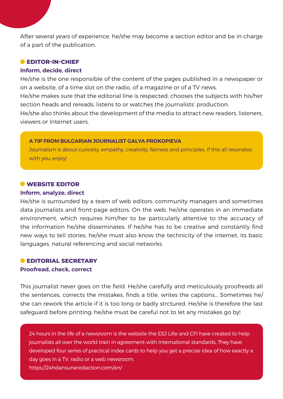After several years of experience, he/she may become a section editor and be in charge of a part of the publication.

### **EDITOR-IN-CHIEF**

#### **Inform, decide, direct**

He/she is the one responsible of the content of the pages published in a newspaper or on a website, of a time slot on the radio, of a magazine or of a TV news.

He/she makes sure that the editorial line is respected, chooses the subjects with his/her section heads and rereads, listens to or watches the journalists' production.

He/she also thinks about the development of the media to attract new readers, listeners, viewers or Internet users.

#### **A TIP FROM BULGARIAN JOURNALIST GALYA PROKOPIEVA**

Journalism is about curiosity, empathy, creativity, fairness and principles. If this all resonates with you: enjoy!

#### **WEBSITE EDITOR**

#### **Inform, analyze, direct**

He/she is surrounded by a team of web editors, community managers and sometimes data journalists and front-page editors. On the web, he/she operates in an immediate environment, which requires him/her to be particularly attentive to the accuracy of the information he/she disseminates. If he/she has to be creative and constantly find new ways to tell stories, he/she must also know the technicity of the internet, its basic languages, natural referencing and social networks.

#### **EDITORIAL SECRETARY Proofread, check, correct**

This journalist never goes on the field. He/she carefully and meticulously proofreads all the sentences, corrects the mistakes, finds a title, writes the captions... Sometimes he/ she can rework the article if it is too long or badly strctured. He/she is therefore the last safeguard before printing: he/she must be careful not to let any mistakes go by!

24 hours in the life of a newsroom is the website the ESJ Lille and CFI have created to help journalists all over the world train in agreement with international standards. They have developed four series of practical index cards to help you get a precise idea of how exactly a day goes in a TV, radio or a web newsroom. https://24hdansuneredaction.com/en/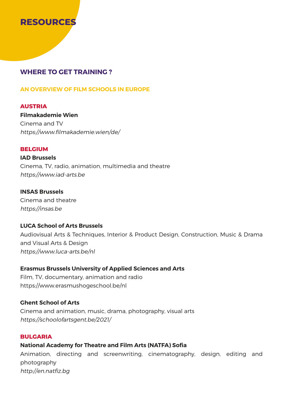

### **WHERE TO GET TRAINING ?**

#### **AN OVERVIEW OF FILM SCHOOLS IN EUROPE**

#### **AUSTRIA**

**Filmakademie Wien** Cinema and TV https://www.filmakademie.wien/de/

#### **BELGIUM**

**IAD Brussels**  Cinema, TV, radio, animation, multimedia and theatre https://www.iad-arts.be

#### **INSAS Brussels**

Cinema and theatre https://insas.be

#### **LUCA School of Arts Brussels**

Audiovisual Arts & Techniques, Interior & Product Design, Construction, Music & Drama and Visual Arts & Design https://www.luca-arts.be/nl

#### **Erasmus Brussels University of Applied Sciences and Arts**

Film, TV, documentary, animation and radio https://www.erasmushogeschool.be/nl

#### **Ghent School of Arts**

Cinema and animation, music, drama, photography, visual arts https://schoolofartsgent.be/2021/

#### **BULGARIA**

### **National Academy for Theatre and Film Arts (NATFA) Sofia**

Animation, directing and screenwriting, cinematography, design, editing and photography http://en.natfiz.bg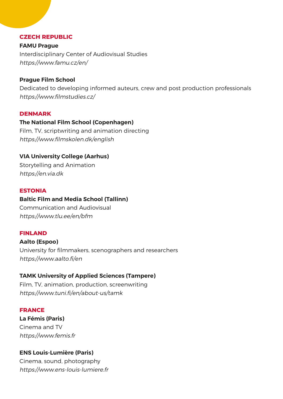#### **CZECH REPUBLIC**

**FAMU Prague** Interdisciplinary Center of Audiovisual Studies https://www.famu.cz/en/

#### **Prague Film School**

Dedicated to developing informed auteurs, crew and post production professionals https://www.filmstudies.cz/

#### **DENMARK**

#### **The National Film School (Copenhagen)**

Film, TV, scriptwriting and animation directing https://www.filmskolen.dk/english

#### **VIA University College (Aarhus)**

Storytelling and Animation https://en.via.dk

#### **ESTONIA**

#### **Baltic Film and Media School (Tallinn)**

Communication and Audiovisual https://www.tlu.ee/en/bfm

#### **FINLAND**

# **Aalto (Espoo)**

University for filmmakers, scenographers and researchers https://www.aalto.fi/en

#### **TAMK University of Applied Sciences (Tampere)**

Film, TV, animation, production, screenwriting https://www.tuni.fi/en/about-us/tamk

#### **FRANCE**

**La Fémis (Paris)**  Cinema and TV https://www.femis.fr

#### **ENS Louis-Lumière (Paris)**

Cinema, sound, photography https://www.ens-louis-lumiere.fr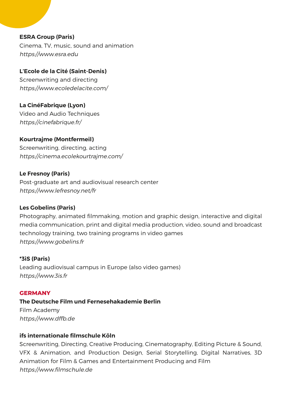**ESRA Group (Paris)** Cinema, TV, music, sound and animation https://www.esra.edu

**L'Ecole de la Cité (Saint-Denis)** Screenwriting and directing https://www.ecoledelacite.com/

**La CinéFabrique (Lyon)** Video and Audio Techniques https://cinefabrique.fr/

**Kourtrajme (Montfermeil)** Screenwriting, directing, acting https://cinema.ecolekourtrajme.com/

#### **Le Fresnoy (Paris)**

Post-graduate art and audiovisual research center https://www.lefresnoy.net/fr

#### **Les Gobelins (Paris)**

Photography, animated filmmaking, motion and graphic design, interactive and digital media communication, print and digital media production, video, sound and broadcast technology training, two training programs in video games https://www.gobelins.fr

#### **\*3iS (Paris)**

Leading audiovisual campus in Europe (also video games) https://www.3is.fr

#### **GERMANY**

**The Deutsche Film und Fernesehakademie Berlin**  Film Academy https://www.dffb.de

#### **ifs internationale filmschule Köln**

Screenwriting, Directing, Creative Producing, Cinematography, Editing Picture & Sound, VFX & Animation, and Production Design, Serial Storytelling, Digital Narratives, 3D Animation for Film & Games and Entertainment Producing and Film https://www.filmschule.de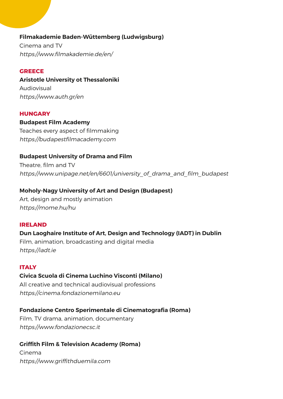### **Filmakademie Baden-Wüttemberg (Ludwigsburg)**

Cinema and TV https://www.filmakademie.de/en/

### **GREECE**

**Aristotle University ot Thessaloniki**  Audiovisual https://www.auth.gr/en

### **HUNGARY**

**Budapest Film Academy**  Teaches every aspect of filmmaking https://budapestfilmacademy.com

### **Budapest University of Drama and Film**

Theatre, film and TV https://www.unipage.net/en/6601/university of drama and film budapest

### **Moholy-Nagy University of Art and Design (Budapest)**

Art, design and mostly animation https://mome.hu/hu

#### **IRELAND**

### **Dun Laoghaire Institute of Art, Design and Technology (IADT) in Dublin**

Film, animation, broadcasting and digital media https://iadt.ie

#### **ITALY**

## **Civica Scuola di Cinema Luchino Visconti (Milano)**

All creative and technical audiovisual professions https://cinema.fondazionemilano.eu

### **Fondazione Centro Sperimentale di Cinematografia (Roma)**

Film, TV drama, animation, documentary https://www.fondazionecsc.it

### **Griffith Film & Television Academy (Roma)**

Cinema https://www.griffithduemila.com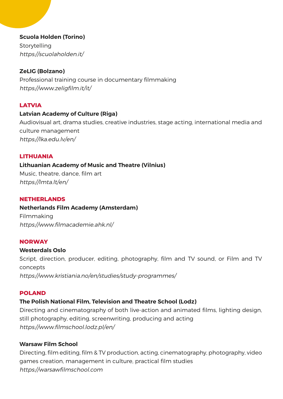### **Scuola Holden (Torino)**

Storytelling https://scuolaholden.it/

### **ZeLIG (Bolzano)**

Professional training course in documentary filmmaking https://www.zeligfilm.it/it/

### **LATVIA**

### **Latvian Academy of Culture (Riga)**

Audiovisual art, drama studies, creative industries, stage acting, international media and culture management https://lka.edu.lv/en/

#### **LITHUANIA**

### **Lithuanian Academy of Music and Theatre (Vilnius)**

Music, theatre, dance, film art https://lmta.lt/en/

#### **NETHERLANDS**

#### **Netherlands Film Academy (Amsterdam)**

Filmmaking https://www.filmacademie.ahk.nl/

#### **NORWAY**

#### **Westerdals Oslo**

Script, direction, producer, editing, photography, film and TV sound, or Film and TV concepts https://www.kristiania.no/en/studies/study-programmes/

#### **POLAND**

### **The Polish National Film, Television and Theatre School (Lodz)**

Directing and cinematography of both live-action and animated films, lighting design, still photography, editing, screenwriting, producing and acting https://www.filmschool.lodz.pl/en/

#### **Warsaw Film School**

Directing, film editing, film & TV production, acting, cinematography, photography, video games creation, management in culture, practical film studies https://warsawfilmschool.com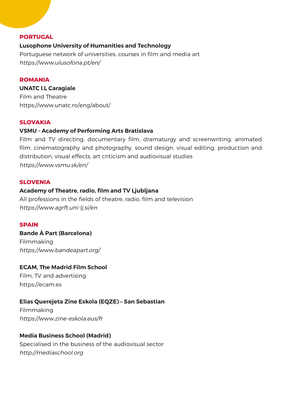#### **PORTUGAL**

#### **Lusophone University of Humanities and Technology**

Portuguese network of universities, courses in film and media art https://www.ulusofona.pt/en/

#### **ROMANIA**

**UNATC I.L Caragiale** Film and Theatre https://www.unatc.ro/eng/about/

#### **SLOVAKIA**

### **VSMU - Academy of Performing Arts Bratislava**

Film and TV directing, documentary film, dramaturgy and screenwriting, animated film, cinematography and photography, sound design, visual editing, production and distribution, visual effects, art criticism and audiovisual studies https://www.vsmu.sk/en/

#### **SLOVENIA**

#### **Academy of Theatre, radio, film and TV Ljubljana**

All professions in the fields of theatre, radio, film and television https://www.agrft.uni-lj.si/en

#### **SPAIN**

#### **Bande À Part (Barcelona)**

Filmmaking https://www.bandeapart.org/

#### **ECAM, The Madrid Film School**

Film, TV and advertising https://ecam.es

#### **Elias Querejeta Zine Eskola (EQZE) – San Sebastian**

Filmmaking https://www.zine-eskola.eus/fr

#### **Media Business School (Madrid)**

Specialised in the business of the audiovisual sector http://mediaschool.org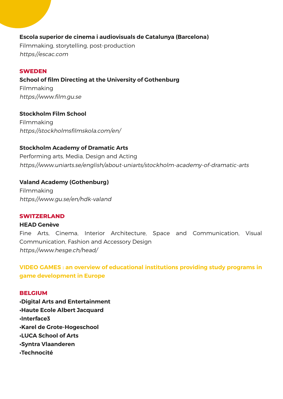### **Escola superior de cinema i audiovisuals de Catalunya (Barcelona)**

Filmmaking, storytelling, post-production https://escac.com

### **SWEDEN**

**School of film Directing at the University of Gothenburg**  Filmmaking https://www.film.gu.se

**Stockholm Film School** Filmmaking https://stockholmsfilmskola.com/en/

### **Stockholm Academy of Dramatic Arts**

Performing arts, Media, Design and Acting https://www.uniarts.se/english/about-uniarts/stockholm-academy-of-dramatic-arts

### **Valand Academy (Gothenburg)**

Filmmaking https://www.gu.se/en/hdk-valand

#### **SWITZERLAND**

#### **HEAD Genève**

Fine Arts, Cinema, Interior Architecture, Space and Communication, Visual Communication, Fashion and Accessory Design https://www.hesge.ch/head/

**VIDEO GAMES : an overview of educational institutions providing study programs in game development in Europe**

#### **BELGIUM**

**•Digital Arts and Entertainment •Haute Ecole Albert Jacquard •Interface3 •Karel de Grote-Hogeschool •LUCA School of Arts •Syntra Vlaanderen •Technocité**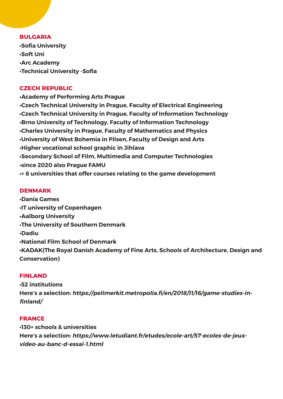#### **BULGARIA**

**•Sofia University •Soft Uni •Arc Academy •Technical University -Sofia**

## **CZECH REPUBLIC**

**•Academy of Performing Arts Prague •Czech Technical University in Prague, Faculty of Electrical Engineering •Czech Technical University in Prague, Faculty of Information Technology •Brno University of Technology, Faculty of Information Technology •Charles University in Prague, Faculty of Mathematics and Physics •University of West Bohemia in Pilsen, Faculty of Design and Arts •Higher vocational school graphic in Jihlava •Secondary School of Film, Multimedia and Computer Technologies •since 2020 also Prague FAMU •+ 8 universities that offer courses relating to the game development** 

## **DENMARK**

**•Dania Games •IT university of Copenhagen •Aalborg University •The University of Southern Denmark •Dadiu •National Film School of Denmark •KADAK(The Royal Danish Academy of Fine Arts, Schools of Architecture, Design and Conservation)**

## **FINLAND**

**•52 institutions Here's a selection: https://pelimerkit.metropolia.fi/en/2018/11/16/game-studies-infinland/**

## **FRANCE**

**•130+ schools & universities Here's a selection: https://www.letudiant.fr/etudes/ecole-art/57-ecoles-de-jeuxvideo-au-banc-d-essai-1.html**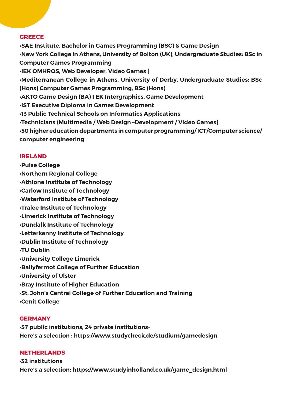#### **GREECE**

**•SAE Institute, Bachelor in Games Programming (BSC) & Game Design •New York College in Athens, University of Bolton (UK), Undergraduate Studies: BSc in Computer Games Programming •IEK OMHROS, Web Developer, Video Games | •Mediterranean College in Athens, University of Derby, Undergraduate Studies: BSc (Hons) Computer Games Programming, BSc (Hons) •AKTO Game Design (BA) I EK Intergraphics, Game Development •IST Executive Diploma in Games Development •13 Public Technical Schools on Informatics Applications •Technicians (Multimedia / Web Design –Development / Video Games) •50 higher education departments in computer programming/ ICT/Computer science/ computer engineering**

## **IRELAND**

**•Pulse College •Northern Regional College •Athlone Institute of Technology •Carlow Institute of Technology •Waterford Institute of Technology •Tralee Institute of Technology •Limerick Institute of Technology •Dundalk Institute of Technology •Letterkenny Institute of Technology •Dublin Institute of Technology •TU Dublin •University College Limerick •Ballyfermot College of Further Education •University of Ulster •Bray Institute of Higher Education •St. John's Central College of Further Education and Training •Cenit College**

#### **GERMANY**

**•57 public institutions, 24 private institutions-Here's a selection : https://www.studycheck.de/studium/gamedesign**

## **NETHERLANDS**

**•32 institutions Here's a selection: https://www.studyinholland.co.uk/game\_design.html**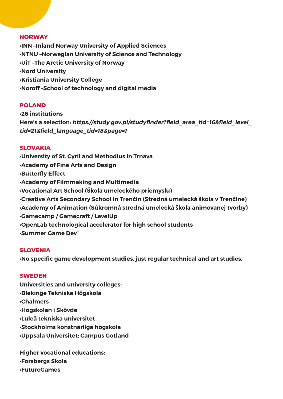#### **NORWAY**

**•INN –Inland Norway University of Applied Sciences •NTNU –Norwegian University of Science and Technology •UiT –The Arctic University of Norway •Nord University •Kristiania University College •Noroff –School of technology and digital media**

## **POLAND**

**•26 institutions Here's a selection: https://study.gov.pl/studyfinder?field\_area\_tid=16&field\_level\_ tid=21&field\_language\_tid=18&page=1**

## **SLOVAKIA**

**•University of St. Cyril and Methodius in Trnava •Academy of Fine Arts and Design •Butterfly Effect •Academy of Filmmaking and Multimedia •Vocational Art School (Škola umeleckého priemyslu) •Creative Arts Secondary School in Trenčín (Stredná umelecká škola v Trenčíne) •Academy of Animation (Súkromná stredná umelecká škola animovanej tvorby) •Gamecamp / Gamecraft / LevelUp •OpenLab technological accelerator for high school students •Summer Game Dev`**

#### **SLOVENIA**

**•No specific game development studies, just regular technical and art studies.**

#### **SWEDEN**

**Universities and university colleges: •Blekinge Tekniska Högskola •Chalmers •Högskolan i Skövde •Luleå tekniska universitet •Stockholms konstnärliga högskola •Uppsala Universitet: Campus Gotland**

**Higher vocational educations: •Forsbergs Skola •FutureGames**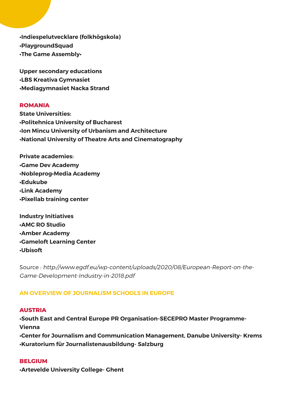**•Indiespelutvecklare (folkhögskola) •PlaygroundSquad •The Game Assembly•**

**Upper secondary educations •LBS Kreativa Gymnasiet •Mediagymnasiet Nacka Strand**

## **ROMANIA**

**State Universities: •Politehnica University of Bucharest •Ion Mincu University of Urbanism and Architecture •National University of Theatre Arts and Cinematography**

**Private academies: •Game Dev Academy •Nobleprog•Media Academy •Edukube •Link Academy •Pixellab training center**

**Industry Initiatives •AMC RO Studio •Amber Academy •Gameloft Learning Center •Ubisoft**

Source : http://www.egdf.eu/wp-content/uploads/2020/08/European-Report-on-the-Game-Development-Industry-in-2018.pdf

## **AN OVERVIEW OF JOURNALISM SCHOOLS IN EUROPE**

## **AUSTRIA**

**•South East and Central Europe PR Organisation-SECEPRO Master Programme-Vienna •Center for Journalism and Communication Management, Danube University- Krems •Kuratorium für Journalistenausbildung- Salzburg**

#### **BELGIUM**

**•Artevelde University College- Ghent**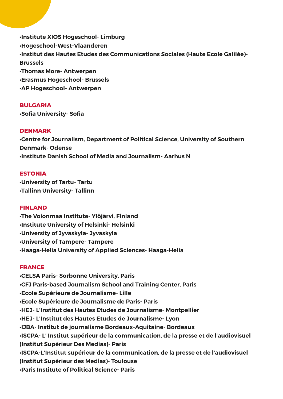**•Institute XIOS Hogeschool- Limburg •Hogeschool-West-Vlaanderen •Institut des Hautes Etudes des Communications Sociales (Haute Ecole Galilée)- Brussels •Thomas More- Antwerpen •Erasmus Hogeschool- Brussels •AP Hogeschool- Antwerpen**

#### **BULGARIA**

**•Sofia University- Sofia**

## **DENMARK**

**•Centre for Journalism, Department of Political Science, University of Southern Denmark- Odense •Institute Danish School of Media and Journalism- Aarhus N**

## **ESTONIA**

**•University of Tartu- Tartu •Tallinn University- Tallinn**

#### **FINLAND**

**•The Voionmaa Institute- Ylöjärvi, Finland •Institute University of Helsinki- Helsinki •University of Jyvaskyla- Jyvaskyla •University of Tampere- Tampere •Haaga-Helia University of Applied Sciences- Haaga-Helia**

#### **FRANCE**

**•CELSA Paris- Sorbonne University, Paris •CFJ Paris-based Journalism School and Training Center, Paris •Ecole Supérieure de Journalisme- Lille •Ecole Supérieure de Journalisme de Paris- Paris •HEJ- L'Institut des Hautes Etudes de Journalisme- Montpellier •HEJ- L'Institut des Hautes Etudes de Journalisme- Lyon •IJBA- Institut de journalisme Bordeaux-Aquitaine- Bordeaux •ISCPA- L' Institut supérieur de la communication, de la presse et de l'audiovisuel (Institut Supérieur Des Medias)- Paris •ISCPA-L'Institut supérieur de la communication, de la presse et de l'audiovisuel (Institut Supérieur des Medias)- Toulouse •Paris Institute of Political Science- Paris**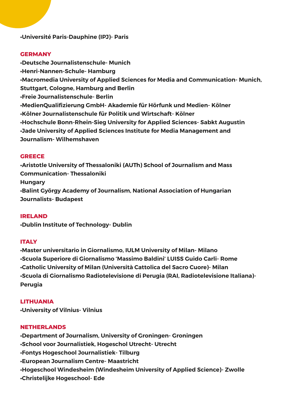**•Université Paris-Dauphine (IPJ)- Paris** 

## **GERMANY**

**•Deutsche Journalistenschule- Munich •Henri-Nannen-Schule- Hamburg •Macromedia University of Applied Sciences for Media and Communication- Munich, Stuttgart, Cologne, Hamburg and Berlin •Freie Journalistenschule- Berlin •MedienQualifizierung GmbH- Akademie für Hörfunk und Medien- Kölner •Kölner Journalistenschule für Politik und Wirtschaft- Kölner •Hochschule Bonn-Rhein-Sieg University for Applied Sciences- Sabkt Augustin •Jade University of Applied Sciences Institute for Media Management and Journalism- Wilhemshaven**

#### **GREECE**

**•Aristotle University of Thessaloniki (AUTh) School of Journalism and Mass Communication- Thessaloniki Hungary •Balint György Academy of Journalism, National Association of Hungarian Journalists- Budapest**

#### **IRELAND**

**•Dublin Institute of Technology- Dublin**

#### **ITALY**

**•Master universitario in Giornalismo, IULM University of Milan- Milano •Scuola Superiore di Giornalismo 'Massimo Baldini' LUISS Guido Carli- Rome •Catholic University of Milan (Università Cattolica del Sacro Cuore)- Milan •Scuola di Giornalismo Radiotelevisione di Perugia (RAI, Radiotelevisione Italiana)- Perugia**

## **LITHUANIA**

**•University of Vilnius- Vilnius**

#### **NETHERLANDS**

**•Department of Journalism, University of Groningen- Groningen •School voor Journalistiek, Hogeschol Utrecht- Utrecht •Fontys Hogeschool Journalistiek- Tilburg •European Journalism Centre- Maastricht •Hogeschool Windesheim (Windesheim University of Applied Science)- Zwolle •Christelijke Hogeschool- Ede**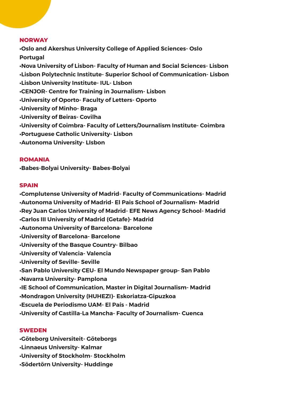#### **NORWAY**

**•Oslo and Akershus University College of Applied Sciences- Oslo Portugal •Nova University of Lisbon- Faculty of Human and Social Sciences- Lisbon •Lisbon Polytechnic Institute- Superior School of Communication- Lisbon •Lisbon University Institute- IUL- LIsbon •CENJOR- Centre for Training in Journalism- Lisbon •University of Oporto- Faculty of Letters- Oporto •University of Minho- Braga •University of Beiras- Covilha •University of Coimbra- Faculty of Letters/Journalism Institute- Coimbra •Portuguese Catholic University- Lisbon •Autonoma University- LIsbon**

#### **ROMANIA**

**•Babes-Bolyai University- Babes-Bolyai**

#### **SPAIN**

**•Complutense University of Madrid- Faculty of Communications- Madrid •Autonoma University of Madrid- El Pais School of Journalism- Madrid •Rey Juan Carlos University of Madrid- EFE News Agency School- Madrid •Carlos III University of Madrid (Getafe)- Madrid •Autonoma University of Barcelona- Barcelone •University of Barcelona- Barcelone •University of the Basque Country- Bilbao •University of Valencia- Valencia •University of Seville- Seville •San Pablo University CEU- El Mundo Newspaper group- San Pablo •Navarra University- Pamplona •IE School of Communication, Master in Digital Journalism- Madrid •Mondragon University (HUHEZI)- Eskoriatza-Gipuzkoa •Escuela de Periodismo UAM- El País - Madrid •University of Castilla-La Mancha- Faculty of Journalism- Cuenca**

#### **SWEDEN**

**•Göteborg Universiteit- Göteborgs •Linnaeus University- Kalmar •University of Stockholm- Stockholm •Södertörn University- Huddinge**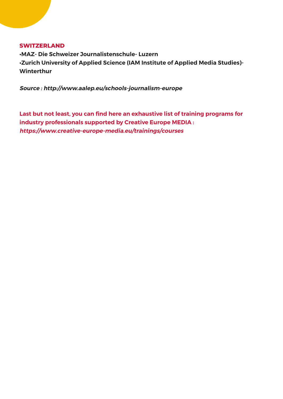#### **SWITZERLAND**

**•MAZ- Die Schweizer Journalistenschule- Luzern •Zurich University of Applied Science (IAM Institute of Applied Media Studies)- Winterthur**

**Source : http://www.aalep.eu/schools-journalism-europe**

**Last but not least, you can find here an exhaustive list of training programs for industry professionals supported by Creative Europe MEDIA : https://www.creative-europe-media.eu/trainings/courses**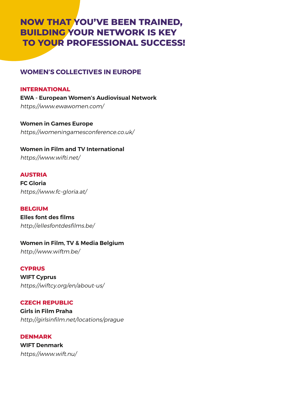# **NOW THAT YOU'VE BEEN TRAINED, BUILDING YOUR NETWORK IS KEY TO YOUR PROFESSIONAL SUCCESS!**

## **WOMEN'S COLLECTIVES IN EUROPE**

## **INTERNATIONAL**

**EWA - European Women's Audiovisual Network**  https://www.ewawomen.com/

**Women in Games Europe** https://womeningamesconference.co.uk/

## **Women in Film and TV International** https://www.wifti.net/

## **AUSTRIA**

**FC Gloria**  https://www.fc-gloria.at/

#### **BELGIUM**

**Elles font des films** http://ellesfontdesfilms.be/

## **Women in Film, TV & Media Belgium**

http://www.wiftm.be/

## **CYPRUS**

**WIFT Cyprus** https://wiftcy.org/en/about-us/

## **CZECH REPUBLIC**

**Girls in Film Praha** http://girlsinfilm.net/locations/prague

**DENMARK WIFT Denmark** https://www.wift.nu/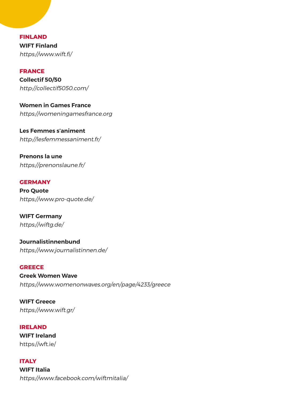**FINLAND WIFT Finland** https://www.wift.fi/

## **FRANCE**

**Collectif 50/50** http://collectif5050.com/

**Women in Games France** https://womeningamesfrance.org

**Les Femmes s'animent** http://lesfemmessaniment.fr/

**Prenons la une** https://prenonslaune.fr/

#### **GERMANY**

**Pro Quote** https://www.pro-quote.de/

**WIFT Germany** https://wiftg.de/

**Journalistinnenbund** https://www.journalistinnen.de/

#### **GREECE**

**Greek Women Wave** https://www.womenonwaves.org/en/page/4233/greece

**WIFT Greece** https://www.wift.gr/

#### **IRELAND**

**WIFT Ireland** https://wft.ie/

#### **ITALY**

**WIFT Italia** https://www.facebook.com/wiftmitalia/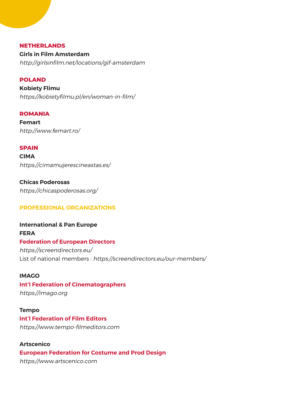#### **NETHERLANDS**

**Girls in Film Amsterdam** http://girlsinfilm.net/locations/gif-amsterdam

## **POLAND**

**Kobiety Flimu**  https://kobietyfilmu.pl/en/woman-in-film/

**ROMANIA Femart** http://www.femart.ro/

**SPAIN**

**CIMA** https://cimamujerescineastas.es/

**Chicas Poderosas** https://chicaspoderosas.org/

## **PROFESSIONAL ORGANIZATIONS**

**International & Pan Europe FERA Federation of European Directors** https://screendirectors.eu/ List of national members : https://screendirectors.eu/our-members/

**IMAGO**

**Int'l Federation of Cinematographers** https://imago.org

**Tempo**

**Int'l Federation of Film Editors**  https://www.tempo-filmeditors.com

**Artscenico European Federation for Costume and Prod Design** https://www.artscenico.com